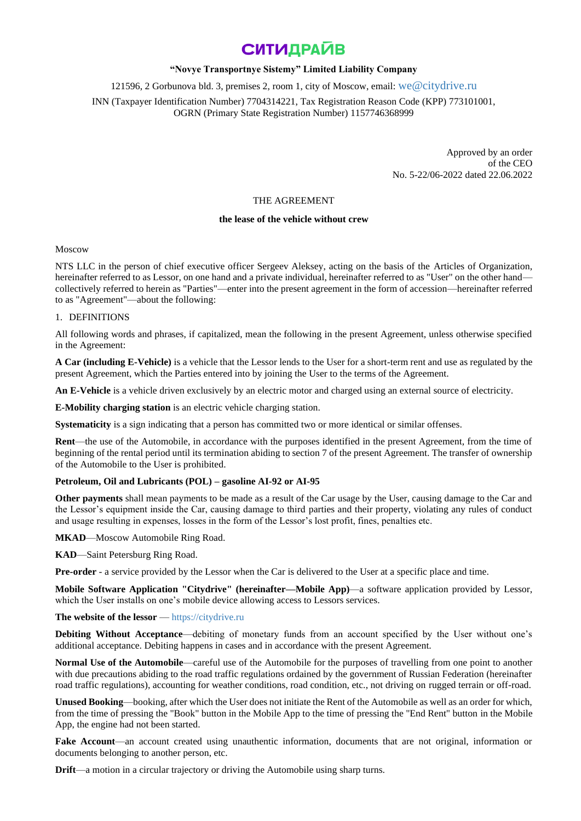### **"Novye Transportnye Sistemy" Limited Liability Company**

121596, 2 Gorbunova bld. 3, premises 2, room 1, city of Moscow, email: [we@citydrive.ru](mailto:we@citydrive.ru)

INN (Taxpayer Identification Number) 7704314221, Tax Registration Reason Code (KPP) 773101001, OGRN (Primary State Registration Number) 1157746368999

> Approved by an order of the CEO No. 5-22/06-2022 dated 22.06.2022

### THE AGREEMENT

### **the lease of the vehicle without crew**

#### Moscow

NTS LLC in the person of chief executive officer Sergeev Aleksey, acting on the basis of the Articles of Organization, hereinafter referred to as Lessor, on one hand and a private individual, hereinafter referred to as "User" on the other hand collectively referred to herein as "Parties"—enter into the present agreement in the form of accession—hereinafter referred to as "Agreement"—about the following:

#### 1. DEFINITIONS

All following words and phrases, if capitalized, mean the following in the present Agreement, unless otherwise specified in the Agreement:

**A Car (including E-Vehicle)** is a vehicle that the Lessor lends to the User for a short-term rent and use as regulated by the present Agreement, which the Parties entered into by joining the User to the terms of the Agreement.

**An E-Vehicle** is a vehicle driven exclusively by an electric motor and charged using an external source of electricity.

**E-Mobility charging station** is an electric vehicle charging station.

**Systematicity** is a sign indicating that a person has committed two or more identical or similar offenses.

**Rent**—the use of the Automobile, in accordance with the purposes identified in the present Agreement, from the time of beginning of the rental period until its termination abiding to section 7 of the present Agreement. The transfer of ownership of the Automobile to the User is prohibited.

#### **Petroleum, Oil and Lubricants (POL) – gasoline AI-92 or AI-95**

**Other payments** shall mean payments to be made as a result of the Car usage by the User, causing damage to the Car and the Lessor's equipment inside the Car, causing damage to third parties and their property, violating any rules of conduct and usage resulting in expenses, losses in the form of the Lessor's lost profit, fines, penalties etc.

**MKAD**—Moscow Automobile Ring Road.

**KAD**—Saint Petersburg Ring Road.

**Pre-order** - a service provided by the Lessor when the Car is delivered to the User at a specific place and time.

**Mobile Software Application "Citydrive" (hereinafter—Mobile App)**—a software application provided by Lessor, which the User installs on one's mobile device allowing access to Lessors services.

#### **The website of the lessor** — [https://citydrive.ru](https://citydrive.ru/)

**Debiting Without Acceptance**—debiting of monetary funds from an account specified by the User without one's additional acceptance. Debiting happens in cases and in accordance with the present Agreement.

**Normal Use of the Automobile**—careful use of the Automobile for the purposes of travelling from one point to another with due precautions abiding to the road traffic regulations ordained by the government of Russian Federation (hereinafter road traffic regulations), accounting for weather conditions, road condition, etc., not driving on rugged terrain or off-road.

**Unused Booking**—booking, after which the User does not initiate the Rent of the Automobile as well as an order for which, from the time of pressing the "Book" button in the Mobile App to the time of pressing the "End Rent" button in the Mobile App, the engine had not been started.

**Fake Account**—an account created using unauthentic information, documents that are not original, information or documents belonging to another person, etc.

**Drift**—a motion in a circular trajectory or driving the Automobile using sharp turns.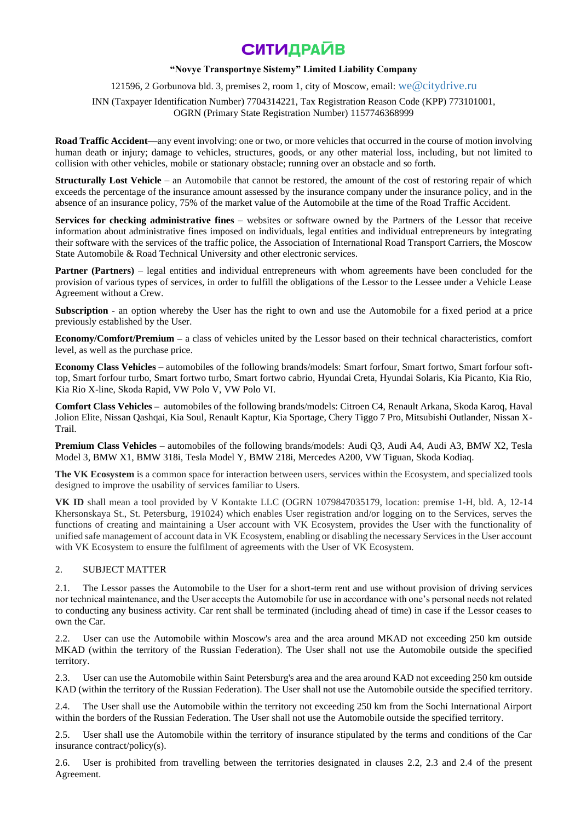## **"Novye Transportnye Sistemy" Limited Liability Company**

121596, 2 Gorbunova bld. 3, premises 2, room 1, city of Moscow, email: [we@citydrive.ru](mailto:we@citydrive.ru)

INN (Taxpayer Identification Number) 7704314221, Tax Registration Reason Code (KPP) 773101001, OGRN (Primary State Registration Number) 1157746368999

**Road Traffic Accident**—any event involving: one or two, or more vehicles that occurred in the course of motion involving human death or injury; damage to vehicles, structures, goods, or any other material loss, including, but not limited to collision with other vehicles, mobile or stationary obstacle; running over an obstacle and so forth.

**Structurally Lost Vehicle** – an Automobile that cannot be restored, the amount of the cost of restoring repair of which exceeds the percentage of the insurance amount assessed by the insurance company under the insurance policy, and in the absence of an insurance policy, 75% of the market value of the Automobile at the time of the Road Traffic Accident.

**Services for checking administrative fines** – websites or software owned by the Partners of the Lessor that receive information about administrative fines imposed on individuals, legal entities and individual entrepreneurs by integrating their software with the services of the traffic police, the Association of International Road Transport Carriers, the Moscow State Automobile & Road Technical University and other electronic services.

**Partner (Partners)** – legal entities and individual entrepreneurs with whom agreements have been concluded for the provision of various types of services, in order to fulfill the obligations of the Lessor to the Lessee under a Vehicle Lease Agreement without a Crew.

**Subscription** - an option whereby the User has the right to own and use the Automobile for a fixed period at a price previously established by the User.

**Economy/Comfort/Premium –** a class of vehicles united by the Lessor based on their technical characteristics, comfort level, as well as the purchase price.

**Economy Class Vehicles** – automobiles of the following brands/models: Smart forfour, Smart fortwo, Smart forfour softtop, Smart forfour turbo, Smart fortwo turbo, Smart fortwo cabrio, Hyundai Creta, Hyundai Solaris, Kia Picanto, Kia Rio, Kia Rio X-line, Skoda Rapid, VW Polo V, VW Polo VI.

**Comfort Class Vehicles –** automobiles of the following brands/models: Citroen C4, Renault Arkana, Skoda Karoq, Haval Jolion Elite, Nissan Qashqai, Kia Soul, Renault Kaptur, Kia Sportage, Chery Tiggo 7 Pro, Mitsubishi Outlander, Nissan X-Trail.

**Premium Class Vehicles –** automobiles of the following brands/models: Audi Q3, Audi A4, Audi A3, BMW X2, Tesla Model 3, BMW X1, BMW 318i, Tesla Model Y, BMW 218i, Mercedes A200, VW Tiguan, Skoda Kodiaq.

**The VK Ecosystem** is a common space for interaction between users, services within the Ecosystem, and specialized tools designed to improve the usability of services familiar to Users.

**VK ID** shall mean a tool provided by V Kontakte LLC (OGRN 1079847035179, location: premise 1-H, bld. A, 12-14 Khersonskaya St., St. Petersburg, 191024) which enables User registration and/or logging on to the Services, serves the functions of creating and maintaining a User account with VK Ecosystem, provides the User with the functionality of unified safe management of account data in VK Ecosystem, enabling or disabling the necessary Services in the User account with VK Ecosystem to ensure the fulfilment of agreements with the User of VK Ecosystem.

### 2. SUBJECT MATTER

2.1. The Lessor passes the Automobile to the User for a short-term rent and use without provision of driving services nor technical maintenance, and the User accepts the Automobile for use in accordance with one's personal needs not related to conducting any business activity. Car rent shall be terminated (including ahead of time) in case if the Lessor ceases to own the Car.

2.2. User can use the Automobile within Moscow's area and the area around MKAD not exceeding 250 km outside MKAD (within the territory of the Russian Federation). The User shall not use the Automobile outside the specified territory.

2.3. User can use the Automobile within Saint Petersburg's area and the area around KAD not exceeding 250 km outside KAD (within the territory of the Russian Federation). The User shall not use the Automobile outside the specified territory.

2.4. The User shall use the Automobile within the territory not exceeding 250 km from the Sochi International Airport within the borders of the Russian Federation. The User shall not use the Automobile outside the specified territory.

2.5. User shall use the Automobile within the territory of insurance stipulated by the terms and conditions of the Car insurance contract/policy(s).

2.6. User is prohibited from travelling between the territories designated in clauses 2.2, 2.3 and 2.4 of the present Agreement.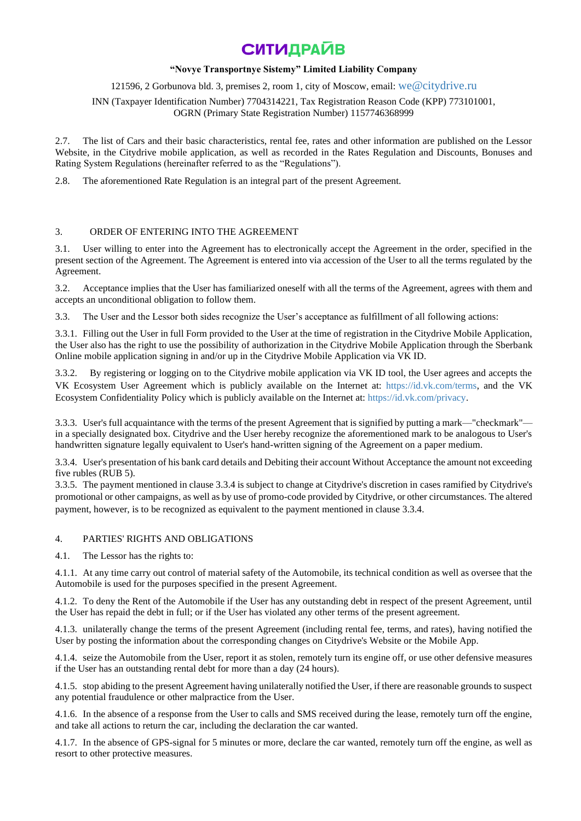## **"Novye Transportnye Sistemy" Limited Liability Company**

121596, 2 Gorbunova bld. 3, premises 2, room 1, city of Moscow, email: [we@citydrive.ru](mailto:we@citydrive.ru)

INN (Taxpayer Identification Number) 7704314221, Tax Registration Reason Code (KPP) 773101001, OGRN (Primary State Registration Number) 1157746368999

2.7. The list of Cars and their basic characteristics, rental fee, rates and other information are published on the Lessor Website, in the Citydrive mobile application, as well as recorded in the Rates Regulation and Discounts, Bonuses and Rating System Regulations (hereinafter referred to as the "Regulations").

2.8. The aforementioned Rate Regulation is an integral part of the present Agreement.

## 3. ORDER OF ENTERING INTO THE AGREEMENT

User willing to enter into the Agreement has to electronically accept the Agreement in the order, specified in the present section of the Agreement. The Agreement is entered into via accession of the User to all the terms regulated by the Agreement.

3.2. Acceptance implies that the User has familiarized oneself with all the terms of the Agreement, agrees with them and accepts an unconditional obligation to follow them.

3.3. The User and the Lessor both sides recognize the User's acceptance as fulfillment of all following actions:

3.3.1. Filling out the User in full Form provided to the User at the time of registration in the Citydrive Mobile Application, the User also has the right to use the possibility of authorization in the Citydrive Mobile Application through the Sberbank Online mobile application signing in and/or up in the Citydrive Mobile Application via VK ID.

3.3.2. By registering or logging on to the Citydrive mobile application via VK ID tool, the User agrees and accepts the VK Ecosystem User Agreement which is publicly available on the Internet at: [https://id.vk.com/terms,](https://id.vk.com/terms) and the VK Ecosystem Confidentiality Policy which is publicly available on the Internet at: [https://id.vk.com/privacy.](https://id.vk.com/privacy)

3.3.3. User's full acquaintance with the terms of the present Agreement that is signified by putting a mark—"checkmark" in a specially designated box. Citydrive and the User hereby recognize the aforementioned mark to be analogous to User's handwritten signature legally equivalent to User's hand-written signing of the Agreement on a paper medium.

3.3.4. User's presentation of his bank card details and Debiting their account Without Acceptance the amount not exceeding five rubles (RUB 5).

3.3.5. The payment mentioned in clause 3.3.4 is subject to change at Citydrive's discretion in cases ramified by Citydrive's promotional or other campaigns, as well as by use of promo-code provided by Citydrive, or other circumstances. The altered payment, however, is to be recognized as equivalent to the payment mentioned in clause 3.3.4.

## 4. PARTIES' RIGHTS AND OBLIGATIONS

4.1. The Lessor has the rights to:

4.1.1. At any time carry out control of material safety of the Automobile, its technical condition as well as oversee that the Automobile is used for the purposes specified in the present Agreement.

4.1.2. To deny the Rent of the Automobile if the User has any outstanding debt in respect of the present Agreement, until the User has repaid the debt in full; or if the User has violated any other terms of the present agreement.

4.1.3. unilaterally change the terms of the present Agreement (including rental fee, terms, and rates), having notified the User by posting the information about the corresponding changes on Citydrive's Website or the Mobile App.

4.1.4. seize the Automobile from the User, report it as stolen, remotely turn its engine off, or use other defensive measures if the User has an outstanding rental debt for more than a day (24 hours).

4.1.5. stop abiding to the present Agreement having unilaterally notified the User, if there are reasonable grounds to suspect any potential fraudulence or other malpractice from the User.

4.1.6. In the absence of a response from the User to calls and SMS received during the lease, remotely turn off the engine, and take all actions to return the car, including the declaration the car wanted.

4.1.7. In the absence of GPS-signal for 5 minutes or more, declare the car wanted, remotely turn off the engine, as well as resort to other protective measures.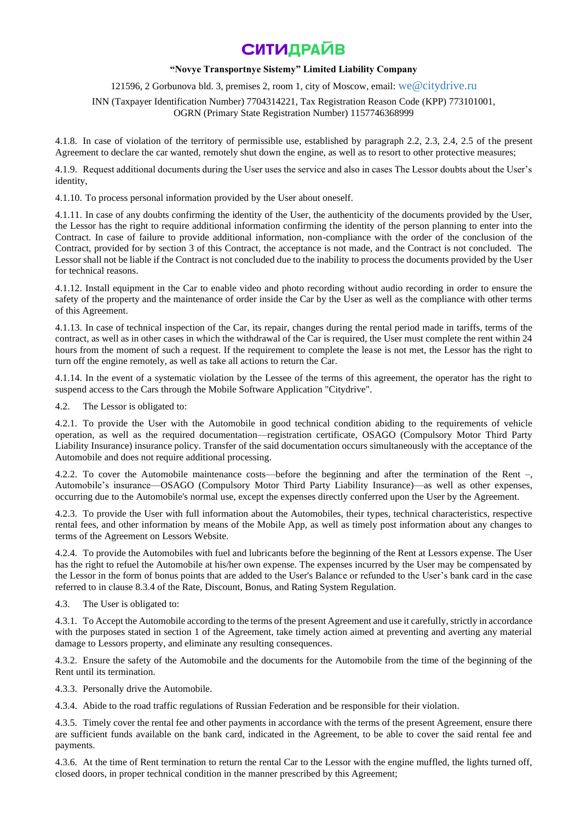## **"Novye Transportnye Sistemy" Limited Liability Company**

121596, 2 Gorbunova bld. 3, premises 2, room 1, city of Moscow, email: [we@citydrive.ru](mailto:we@citydrive.ru)

INN (Taxpayer Identification Number) 7704314221, Tax Registration Reason Code (KPP) 773101001, OGRN (Primary State Registration Number) 1157746368999

4.1.8. In case of violation of the territory of permissible use, established by paragraph 2.2, 2.3, 2.4, 2.5 of the present Agreement to declare the car wanted, remotely shut down the engine, as well as to resort to other protective measures;

4.1.9. Request additional documents during the User uses the service and also in cases The Lessor doubts about the User's identity,

4.1.10. To process personal information provided by the User about oneself.

4.1.11. In case of any doubts confirming the identity of the User, the authenticity of the documents provided by the User, the Lessor has the right to require additional information confirming the identity of the person planning to enter into the Contract. In case of failure to provide additional information, non-compliance with the order of the conclusion of the Contract, provided for by section 3 of this Contract, the acceptance is not made, and the Contract is not concluded. The Lessor shall not be liable if the Contract is not concluded due to the inability to process the documents provided by the User for technical reasons.

4.1.12. Install equipment in the Car to enable video and photo recording without audio recording in order to ensure the safety of the property and the maintenance of order inside the Car by the User as well as the compliance with other terms of this Agreement.

4.1.13. In case of technical inspection of the Car, its repair, changes during the rental period made in tariffs, terms of the contract, as well as in other cases in which the withdrawal of the Car is required, the User must complete the rent within 24 hours from the moment of such a request. If the requirement to complete the lease is not met, the Lessor has the right to turn off the engine remotely, as well as take all actions to return the Car.

4.1.14. In the event of a systematic violation by the Lessee of the terms of this agreement, the operator has the right to suspend access to the Cars through the Mobile Software Application "Citydrive".

4.2. The Lessor is obligated to:

4.2.1. To provide the User with the Automobile in good technical condition abiding to the requirements of vehicle operation, as well as the required documentation—registration certificate, OSAGO (Compulsory Motor Third Party Liability Insurance) insurance policy. Transfer of the said documentation occurs simultaneously with the acceptance of the Automobile and does not require additional processing.

4.2.2. To cover the Automobile maintenance costs—before the beginning and after the termination of the Rent –, Automobile's insurance—OSAGO (Compulsory Motor Third Party Liability Insurance)—as well as other expenses, occurring due to the Automobile's normal use, except the expenses directly conferred upon the User by the Agreement.

4.2.3. To provide the User with full information about the Automobiles, their types, technical characteristics, respective rental fees, and other information by means of the Mobile App, as well as timely post information about any changes to terms of the Agreement on Lessors Website.

4.2.4. To provide the Automobiles with fuel and lubricants before the beginning of the Rent at Lessors expense. The User has the right to refuel the Automobile at his/her own expense. The expenses incurred by the User may be compensated by the Lessor in the form of bonus points that are added to the User's Balance or refunded to the User's bank card in the case referred to in clause 8.3.4 of the Rate, Discount, Bonus, and Rating System Regulation.

4.3. The User is obligated to:

4.3.1. To Accept the Automobile according to the terms of the present Agreement and use it carefully, strictly in accordance with the purposes stated in section 1 of the Agreement, take timely action aimed at preventing and averting any material damage to Lessors property, and eliminate any resulting consequences.

4.3.2. Ensure the safety of the Automobile and the documents for the Automobile from the time of the beginning of the Rent until its termination.

4.3.3. Personally drive the Automobile.

4.3.4. Abide to the road traffic regulations of Russian Federation and be responsible for their violation.

4.3.5. Timely cover the rental fee and other payments in accordance with the terms of the present Agreement, ensure there are sufficient funds available on the bank card, indicated in the Agreement, to be able to cover the said rental fee and payments.

4.3.6. At the time of Rent termination to return the rental Car to the Lessor with the engine muffled, the lights turned off, closed doors, in proper technical condition in the manner prescribed by this Agreement;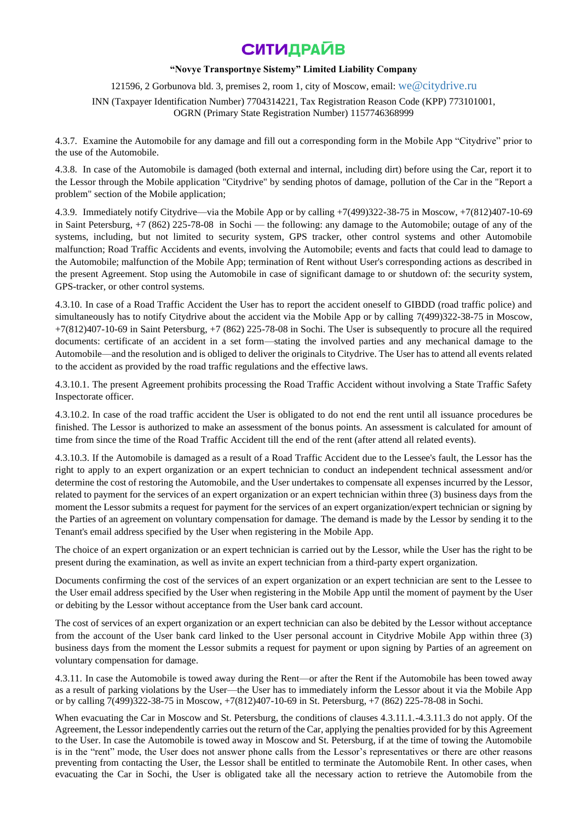## **"Novye Transportnye Sistemy" Limited Liability Company**

121596, 2 Gorbunova bld. 3, premises 2, room 1, city of Moscow, email: [we@citydrive.ru](mailto:we@citydrive.ru)

INN (Taxpayer Identification Number) 7704314221, Tax Registration Reason Code (KPP) 773101001, OGRN (Primary State Registration Number) 1157746368999

4.3.7. Examine the Automobile for any damage and fill out a corresponding form in the Mobile App "Citydrive" prior to the use of the Automobile.

4.3.8. In case of the Automobile is damaged (both external and internal, including dirt) before using the Car, report it to the Lessor through the Mobile application "Citydrive" by sending photos of damage, pollution of the Car in the "Report a problem" section of the Mobile application;

4.3.9. Immediately notify Citydrive—via the Mobile App or by calling +7(499)322-38-75 in Moscow, +7(812)407-10-69 in Saint Petersburg, +7 (862) 225-78-08 in Sochi — the following: any damage to the Automobile; outage of any of the systems, including, but not limited to security system, GPS tracker, other control systems and other Automobile malfunction; Road Traffic Accidents and events, involving the Automobile; events and facts that could lead to damage to the Automobile; malfunction of the Mobile App; termination of Rent without User's corresponding actions as described in the present Agreement. Stop using the Automobile in case of significant damage to or shutdown of: the security system, GPS-tracker, or other control systems.

4.3.10. In case of a Road Traffic Accident the User has to report the accident oneself to GIBDD (road traffic police) and simultaneously has to notify Citydrive about the accident via the Mobile App or by calling 7(499)322-38-75 in Moscow, +7(812)407-10-69 in Saint Petersburg, +7 (862) 225-78-08 in Sochi. The User is subsequently to procure all the required documents: certificate of an accident in a set form—stating the involved parties and any mechanical damage to the Automobile—and the resolution and is obliged to deliver the originals to Citydrive. The User has to attend all events related to the accident as provided by the road traffic regulations and the effective laws.

4.3.10.1. The present Agreement prohibits processing the Road Traffic Accident without involving a State Traffic Safety Inspectorate officer.

4.3.10.2. In case of the road traffic accident the User is obligated to do not end the rent until all issuance procedures be finished. The Lessor is authorized to make an assessment of the bonus points. An assessment is calculated for amount of time from since the time of the Road Traffic Accident till the end of the rent (after attend all related events).

4.3.10.3. If the Automobile is damaged as a result of a Road Traffic Accident due to the Lessee's fault, the Lessor has the right to apply to an expert organization or an expert technician to conduct an independent technical assessment and/or determine the cost of restoring the Automobile, and the User undertakes to compensate all expenses incurred by the Lessor, related to payment for the services of an expert organization or an expert technician within three (3) business days from the moment the Lessor submits a request for payment for the services of an expert organization/expert technician or signing by the Parties of an agreement on voluntary compensation for damage. The demand is made by the Lessor by sending it to the Tenant's email address specified by the User when registering in the Mobile App.

The choice of an expert organization or an expert technician is carried out by the Lessor, while the User has the right to be present during the examination, as well as invite an expert technician from a third-party expert organization.

Documents confirming the cost of the services of an expert organization or an expert technician are sent to the Lessee to the User email address specified by the User when registering in the Mobile App until the moment of payment by the User or debiting by the Lessor without acceptance from the User bank card account.

The cost of services of an expert organization or an expert technician can also be debited by the Lessor without acceptance from the account of the User bank card linked to the User personal account in Citydrive Mobile App within three (3) business days from the moment the Lessor submits a request for payment or upon signing by Parties of an agreement on voluntary compensation for damage.

4.3.11. In case the Automobile is towed away during the Rent—or after the Rent if the Automobile has been towed away as a result of parking violations by the User—the User has to immediately inform the Lessor about it via the Mobile App or by calling 7(499)322-38-75 in Moscow, +7(812)407-10-69 in St. Petersburg, +7 (862) 225-78-08 in Sochi.

When evacuating the Car in Moscow and St. Petersburg, the conditions of clauses 4.3.11.1.-4.3.11.3 do not apply. Of the Agreement, the Lessor independently carries out the return of the Car, applying the penalties provided for by this Agreement to the User. In case the Automobile is towed away in Moscow and St. Petersburg, if at the time of towing the Automobile is in the "rent" mode, the User does not answer phone calls from the Lessor's representatives or there are other reasons preventing from contacting the User, the Lessor shall be entitled to terminate the Automobile Rent. In other cases, when evacuating the Car in Sochi, the User is obligated take all the necessary action to retrieve the Automobile from the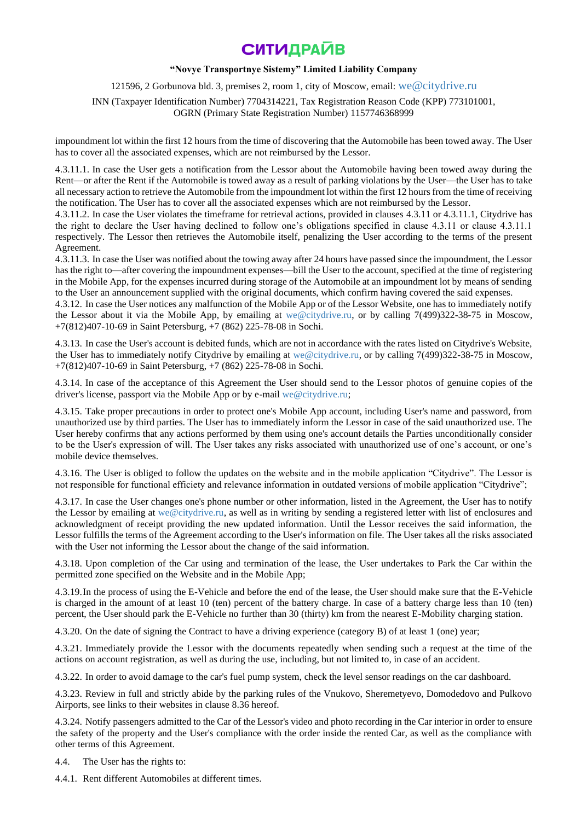## **"Novye Transportnye Sistemy" Limited Liability Company**

121596, 2 Gorbunova bld. 3, premises 2, room 1, city of Moscow, email: [we@citydrive.ru](mailto:we@citydrive.ru)

INN (Taxpayer Identification Number) 7704314221, Tax Registration Reason Code (KPP) 773101001, OGRN (Primary State Registration Number) 1157746368999

impoundment lot within the first 12 hours from the time of discovering that the Automobile has been towed away. The User has to cover all the associated expenses, which are not reimbursed by the Lessor.

4.3.11.1. In case the User gets a notification from the Lessor about the Automobile having been towed away during the Rent—or after the Rent if the Automobile is towed away as a result of parking violations by the User—the User has to take all necessary action to retrieve the Automobile from the impoundment lot within the first 12 hours from the time of receiving the notification. The User has to cover all the associated expenses which are not reimbursed by the Lessor.

4.3.11.2. In case the User violates the timeframe for retrieval actions, provided in clauses 4.3.11 or 4.3.11.1, Citydrive has the right to declare the User having declined to follow one's obligations specified in clause 4.3.11 or clause 4.3.11.1 respectively. The Lessor then retrieves the Automobile itself, penalizing the User according to the terms of the present Agreement.

4.3.11.3. In case the User was notified about the towing away after 24 hours have passed since the impoundment, the Lessor has the right to—after covering the impoundment expenses—bill the User to the account, specified at the time of registering in the Mobile App, for the expenses incurred during storage of the Automobile at an impoundment lot by means of sending to the User an announcement supplied with the original documents, which confirm having covered the said expenses.

4.3.12. In case the User notices any malfunction of the Mobile App or of the Lessor Website, one has to immediately notify the Lessor about it via the Mobile App, by emailing at [we@citydrive.ru,](mailto:we@citydrive.ru) or by calling 7(499)322-38-75 in Moscow, +7(812)407-10-69 in Saint Petersburg, +7 (862) 225-78-08 in Sochi.

4.3.13. In case the User's account is debited funds, which are not in accordance with the rates listed on Citydrive's Website, the User has to immediately notify Citydrive by emailing at [we@citydrive.ru,](mailto:we@citydrive.ru) or by calling 7(499)322-38-75 in Moscow, +7(812)407-10-69 in Saint Petersburg, +7 (862) 225-78-08 in Sochi.

4.3.14. In case of the acceptance of this Agreement the User should send to the Lessor photos of genuine copies of the driver's license, passport via the Mobile App or by e-mail [we@citydrive.ru;](mailto:we@citydrive.ru)

4.3.15. Take proper precautions in order to protect one's Mobile App account, including User's name and password, from unauthorized use by third parties. The User has to immediately inform the Lessor in case of the said unauthorized use. The User hereby confirms that any actions performed by them using one's account details the Parties unconditionally consider to be the User's expression of will. The User takes any risks associated with unauthorized use of one's account, or one's mobile device themselves.

4.3.16. The User is obliged to follow the updates on the website and in the mobile application "Citydrive". The Lessor is not responsible for functional efficiety and relevance information in outdated versions of mobile application "Citydrive";

4.3.17. In case the User changes one's phone number or other information, listed in the Agreement, the User has to notify the Lessor by emailing at [we@citydrive.ru,](mailto:we@citydrive.ru) as well as in writing by sending a registered letter with list of enclosures and acknowledgment of receipt providing the new updated information. Until the Lessor receives the said information, the Lessor fulfills the terms of the Agreement according to the User's information on file. The User takes all the risks associated with the User not informing the Lessor about the change of the said information.

4.3.18. Upon completion of the Car using and termination of the lease, the User undertakes to Park the Car within the permitted zone specified on the Website and in the Mobile App;

4.3.19.In the process of using the E-Vehicle and before the end of the lease, the User should make sure that the E-Vehicle is charged in the amount of at least 10 (ten) percent of the battery charge. In case of a battery charge less than 10 (ten) percent, the User should park the E-Vehicle no further than 30 (thirty) km from the nearest E-Mobility charging station.

4.3.20. On the date of signing the Contract to have a driving experience (category B) of at least 1 (one) year;

4.3.21. Immediately provide the Lessor with the documents repeatedly when sending such a request at the time of the actions on account registration, as well as during the use, including, but not limited to, in case of an accident.

4.3.22. In order to avoid damage to the car's fuel pump system, check the level sensor readings on the car dashboard.

4.3.23. Review in full and strictly abide by the parking rules of the Vnukovo, Sheremetyevo, Domodedovo and Pulkovo Airports, see links to their websites in clause 8.36 hereof.

4.3.24. Notify passengers admitted to the Car of the Lessor's video and photo recording in the Car interior in order to ensure the safety of the property and the User's compliance with the order inside the rented Car, as well as the compliance with other terms of this Agreement.

4.4. The User has the rights to:

4.4.1. Rent different Automobiles at different times.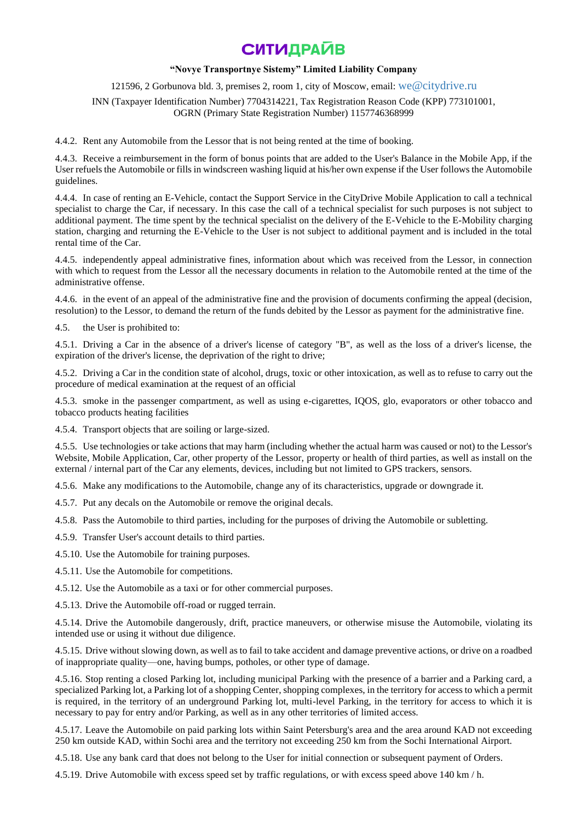### **"Novye Transportnye Sistemy" Limited Liability Company**

121596, 2 Gorbunova bld. 3, premises 2, room 1, city of Moscow, email: [we@citydrive.ru](mailto:we@citydrive.ru)

INN (Taxpayer Identification Number) 7704314221, Tax Registration Reason Code (KPP) 773101001, OGRN (Primary State Registration Number) 1157746368999

4.4.2. Rent any Automobile from the Lessor that is not being rented at the time of booking.

4.4.3. Receive a reimbursement in the form of bonus points that are added to the User's Balance in the Mobile App, if the User refuels the Automobile or fills in windscreen washing liquid at his/her own expense if the User follows the Automobile guidelines.

4.4.4. In case of renting an E-Vehicle, contact the Support Service in the CityDrive Mobile Application to call a technical specialist to charge the Car, if necessary. In this case the call of a technical specialist for such purposes is not subject to additional payment. The time spent by the technical specialist on the delivery of the E-Vehicle to the E-Mobility charging station, charging and returning the E-Vehicle to the User is not subject to additional payment and is included in the total rental time of the Car.

4.4.5. independently appeal administrative fines, information about which was received from the Lessor, in connection with which to request from the Lessor all the necessary documents in relation to the Automobile rented at the time of the administrative offense.

4.4.6. in the event of an appeal of the administrative fine and the provision of documents confirming the appeal (decision, resolution) to the Lessor, to demand the return of the funds debited by the Lessor as payment for the administrative fine.

4.5. the User is prohibited to:

4.5.1. Driving a Car in the absence of a driver's license of category "B", as well as the loss of a driver's license, the expiration of the driver's license, the deprivation of the right to drive;

4.5.2. Driving a Car in the condition state of alcohol, drugs, toxic or other intoxication, as well as to refuse to carry out the procedure of medical examination at the request of an official

4.5.3. smoke in the passenger compartment, as well as using e-cigarettes, IQOS, glo, evaporators or other tobacco and tobacco products heating facilities

4.5.4. Transport objects that are soiling or large-sized.

4.5.5. Use technologies or take actions that may harm (including whether the actual harm was caused or not) to the Lessor's Website, Mobile Application, Car, other property of the Lessor, property or health of third parties, as well as install on the external / internal part of the Car any elements, devices, including but not limited to GPS trackers, sensors.

4.5.6. Make any modifications to the Automobile, change any of its characteristics, upgrade or downgrade it.

4.5.7. Put any decals on the Automobile or remove the original decals.

4.5.8. Pass the Automobile to third parties, including for the purposes of driving the Automobile or subletting.

4.5.9. Transfer User's account details to third parties.

4.5.10. Use the Automobile for training purposes.

4.5.11. Use the Automobile for competitions.

4.5.12. Use the Automobile as a taxi or for other commercial purposes.

4.5.13. Drive the Automobile off-road or rugged terrain.

4.5.14. Drive the Automobile dangerously, drift, practice maneuvers, or otherwise misuse the Automobile, violating its intended use or using it without due diligence.

4.5.15. Drive without slowing down, as well as to fail to take accident and damage preventive actions, or drive on a roadbed of inappropriate quality—one, having bumps, potholes, or other type of damage.

4.5.16. Stop renting a closed Parking lot, including municipal Parking with the presence of a barrier and a Parking card, a specialized Parking lot, a Parking lot of a shopping Center, shopping complexes, in the territory for access to which a permit is required, in the territory of an underground Parking lot, multi-level Parking, in the territory for access to which it is necessary to pay for entry and/or Parking, as well as in any other territories of limited access.

4.5.17. Leave the Automobile on paid parking lots within Saint Petersburg's area and the area around KAD not exceeding 250 km outside KAD, within Sochi area and the territory not exceeding 250 km from the Sochi International Airport.

4.5.18. Use any bank card that does not belong to the User for initial connection or subsequent payment of Orders.

4.5.19. Drive Automobile with excess speed set by traffic regulations, or with excess speed above 140 km / h.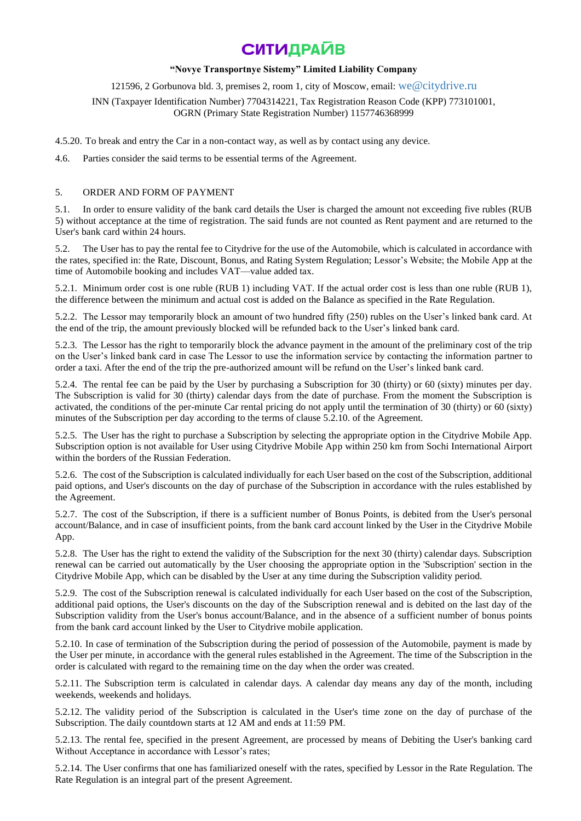### **"Novye Transportnye Sistemy" Limited Liability Company**

### 121596, 2 Gorbunova bld. 3, premises 2, room 1, city of Moscow, email: [we@citydrive.ru](mailto:we@citydrive.ru)

## INN (Taxpayer Identification Number) 7704314221, Tax Registration Reason Code (KPP) 773101001, OGRN (Primary State Registration Number) 1157746368999

4.5.20. To break and entry the Car in a non-contact way, as well as by contact using any device.

4.6. Parties consider the said terms to be essential terms of the Agreement.

### 5. ORDER AND FORM OF PAYMENT

5.1. In order to ensure validity of the bank card details the User is charged the amount not exceeding five rubles (RUB 5) without acceptance at the time of registration. The said funds are not counted as Rent payment and are returned to the User's bank card within 24 hours.

5.2. The User has to pay the rental fee to Citydrive for the use of the Automobile, which is calculated in accordance with the rates, specified in: the Rate, Discount, Bonus, and Rating System Regulation; Lessor's Website; the Mobile App at the time of Automobile booking and includes VAT—value added tax.

5.2.1. Minimum order cost is one ruble (RUB 1) including VAT. If the actual order cost is less than one ruble (RUB 1), the difference between the minimum and actual cost is added on the Balance as specified in the Rate Regulation.

5.2.2. The Lessor may temporarily block an amount of two hundred fifty (250) rubles on the User's linked bank card. At the end of the trip, the amount previously blocked will be refunded back to the User's linked bank card.

5.2.3. The Lessor has the right to temporarily block the advance payment in the amount of the preliminary cost of the trip on the User's linked bank card in case The Lessor to use the information service by contacting the information partner to order a taxi. After the end of the trip the pre-authorized amount will be refund on the User's linked bank card.

5.2.4. The rental fee can be paid by the User by purchasing a Subscription for 30 (thirty) or 60 (sixty) minutes per day. The Subscription is valid for 30 (thirty) calendar days from the date of purchase. From the moment the Subscription is activated, the conditions of the per-minute Car rental pricing do not apply until the termination of 30 (thirty) or 60 (sixty) minutes of the Subscription per day according to the terms of clause 5.2.10. of the Agreement.

5.2.5. The User has the right to purchase a Subscription by selecting the appropriate option in the Citydrive Mobile App. Subscription option is not available for User using Citydrive Mobile App within 250 km from Sochi International Airport within the borders of the Russian Federation.

5.2.6. The cost of the Subscription is calculated individually for each User based on the cost of the Subscription, additional paid options, and User's discounts on the day of purchase of the Subscription in accordance with the rules established by the Agreement.

5.2.7. The cost of the Subscription, if there is a sufficient number of Bonus Points, is debited from the User's personal account/Balance, and in case of insufficient points, from the bank card account linked by the User in the Citydrive Mobile App.

5.2.8. The User has the right to extend the validity of the Subscription for the next 30 (thirty) calendar days. Subscription renewal can be carried out automatically by the User choosing the appropriate option in the 'Subscription' section in the Citydrive Mobile App, which can be disabled by the User at any time during the Subscription validity period.

5.2.9. The cost of the Subscription renewal is calculated individually for each User based on the cost of the Subscription, additional paid options, the User's discounts on the day of the Subscription renewal and is debited on the last day of the Subscription validity from the User's bonus account/Balance, and in the absence of a sufficient number of bonus points from the bank card account linked by the User to Citydrive mobile application.

5.2.10. In case of termination of the Subscription during the period of possession of the Automobile, payment is made by the User per minute, in accordance with the general rules established in the Agreement. The time of the Subscription in the order is calculated with regard to the remaining time on the day when the order was created.

5.2.11. The Subscription term is calculated in calendar days. A calendar day means any day of the month, including weekends, weekends and holidays.

5.2.12. The validity period of the Subscription is calculated in the User's time zone on the day of purchase of the Subscription. The daily countdown starts at 12 AM and ends at 11:59 PM.

5.2.13. The rental fee, specified in the present Agreement, are processed by means of Debiting the User's banking card Without Acceptance in accordance with Lessor's rates;

5.2.14. The User confirms that one has familiarized oneself with the rates, specified by Lessor in the Rate Regulation. The Rate Regulation is an integral part of the present Agreement.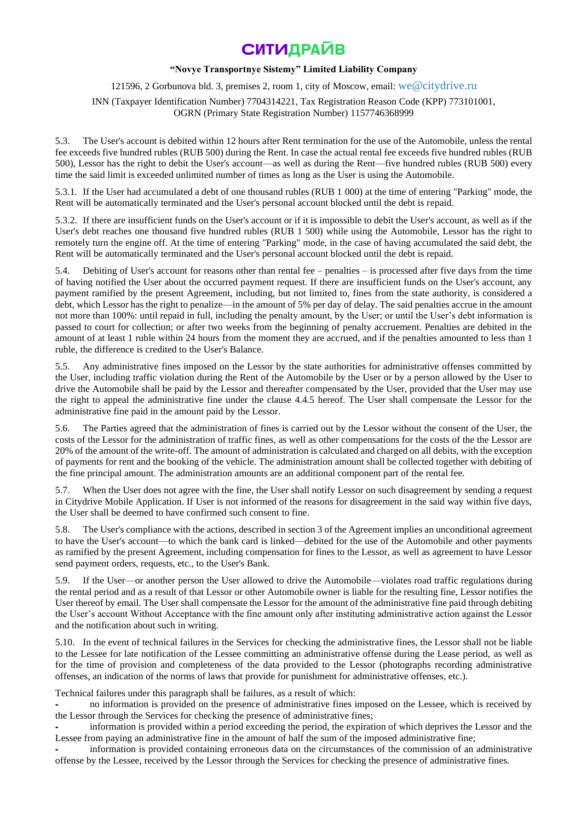## **"Novye Transportnye Sistemy" Limited Liability Company**

121596, 2 Gorbunova bld. 3, premises 2, room 1, city of Moscow, email: [we@citydrive.ru](mailto:we@citydrive.ru)

INN (Taxpayer Identification Number) 7704314221, Tax Registration Reason Code (KPP) 773101001, OGRN (Primary State Registration Number) 1157746368999

5.3. The User's account is debited within 12 hours after Rent termination for the use of the Automobile, unless the rental fee exceeds five hundred rubles (RUB 500) during the Rent. In case the actual rental fee exceeds five hundred rubles (RUB 500), Lessor has the right to debit the User's account—as well as during the Rent—five hundred rubles (RUB 500) every time the said limit is exceeded unlimited number of times as long as the User is using the Automobile.

5.3.1. If the User had accumulated a debt of one thousand rubles (RUB 1 000) at the time of entering "Parking" mode, the Rent will be automatically terminated and the User's personal account blocked until the debt is repaid.

5.3.2. If there are insufficient funds on the User's account or if it is impossible to debit the User's account, as well as if the User's debt reaches one thousand five hundred rubles (RUB 1 500) while using the Automobile, Lessor has the right to remotely turn the engine off. At the time of entering "Parking" mode, in the case of having accumulated the said debt, the Rent will be automatically terminated and the User's personal account blocked until the debt is repaid.

5.4. Debiting of User's account for reasons other than rental fee – penalties – is processed after five days from the time of having notified the User about the occurred payment request. If there are insufficient funds on the User's account, any payment ramified by the present Agreement, including, but not limited to, fines from the state authority, is considered a debt, which Lessor has the right to penalize—in the amount of 5% per day of delay. The said penalties accrue in the amount not more than 100%: until repaid in full, including the penalty amount, by the User; or until the User's debt information is passed to court for collection; or after two weeks from the beginning of penalty accruement. Penalties are debited in the amount of at least 1 ruble within 24 hours from the moment they are accrued, and if the penalties amounted to less than 1 ruble, the difference is credited to the User's Balance.

5.5. Any administrative fines imposed on the Lessor by the state authorities for administrative offenses committed by the User, including traffic violation during the Rent of the Automobile by the User or by a person allowed by the User to drive the Automobile shall be paid by the Lessor and thereafter compensated by the User, provided that the User may use the right to appeal the administrative fine under the clause 4.4.5 hereof. The User shall compensate the Lessor for the administrative fine paid in the amount paid by the Lessor.

5.6. The Parties agreed that the administration of fines is carried out by the Lessor without the consent of the User, the costs of the Lessor for the administration of traffic fines, as well as other compensations for the costs of the the Lessor are 20% of the amount of the write-off. The amount of administration is calculated and charged on all debits, with the exception of payments for rent and the booking of the vehicle. The administration amount shall be collected together with debiting of the fine principal amount. The administration amounts are an additional component part of the rental fee.

5.7. When the User does not agree with the fine, the User shall notify Lessor on such disagreement by sending a request in Citydrive Mobile Application. If User is not informed of the reasons for disagreement in the said way within five days, the User shall be deemed to have confirmed such consent to fine.

5.8. The User's compliance with the actions, described in section 3 of the Agreement implies an unconditional agreement to have the User's account—to which the bank card is linked—debited for the use of the Automobile and other payments as ramified by the present Agreement, including compensation for fines to the Lessor, as well as agreement to have Lessor send payment orders, requests, etc., to the User's Bank.

5.9. If the User—or another person the User allowed to drive the Automobile—violates road traffic regulations during the rental period and as a result of that Lessor or other Automobile owner is liable for the resulting fine, Lessor notifies the User thereof by email. The User shall compensate the Lessor for the amount of the administrative fine paid through debiting the User's account Without Acceptance with the fine amount only after instituting administrative action against the Lessor and the notification about such in writing.

5.10. In the event of technical failures in the Services for checking the administrative fines, the Lessor shall not be liable to the Lessee for late notification of the Lessee committing an administrative offense during the Lease period, as well as for the time of provision and completeness of the data provided to the Lessor (photographs recording administrative offenses, an indication of the norms of laws that provide for punishment for administrative offenses, etc.).

Technical failures under this paragraph shall be failures, as a result of which:

no information is provided on the presence of administrative fines imposed on the Lessee, which is received by the Lessor through the Services for checking the presence of administrative fines;

information is provided within a period exceeding the period, the expiration of which deprives the Lessor and the Lessee from paying an administrative fine in the amount of half the sum of the imposed administrative fine;

information is provided containing erroneous data on the circumstances of the commission of an administrative offense by the Lessee, received by the Lessor through the Services for checking the presence of administrative fines.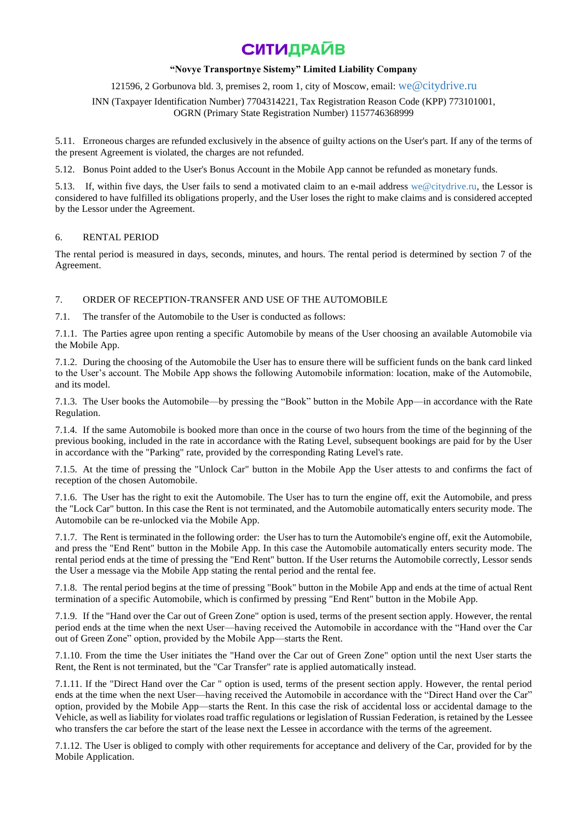### **"Novye Transportnye Sistemy" Limited Liability Company**

## 121596, 2 Gorbunova bld. 3, premises 2, room 1, city of Moscow, email: [we@citydrive.ru](mailto:we@citydrive.ru)

INN (Taxpayer Identification Number) 7704314221, Tax Registration Reason Code (KPP) 773101001, OGRN (Primary State Registration Number) 1157746368999

5.11. Erroneous charges are refunded exclusively in the absence of guilty actions on the User's part. If any of the terms of the present Agreement is violated, the charges are not refunded.

5.12. Bonus Point added to the User's Bonus Account in the Mobile App cannot be refunded as monetary funds.

5.13. If, within five days, the User fails to send a motivated claim to an e-mail address [we@citydrive.ru,](mailto:we@citydrive.ru) the Lessor is considered to have fulfilled its obligations properly, and the User loses the right to make claims and is considered accepted by the Lessor under the Agreement.

## 6. RENTAL PERIOD

The rental period is measured in days, seconds, minutes, and hours. The rental period is determined by section 7 of the Agreement.

## 7. ORDER OF RECEPTION-TRANSFER AND USE OF THE AUTOMOBILE

7.1. The transfer of the Automobile to the User is conducted as follows:

7.1.1. The Parties agree upon renting a specific Automobile by means of the User choosing an available Automobile via the Mobile App.

7.1.2. During the choosing of the Automobile the User has to ensure there will be sufficient funds on the bank card linked to the User's account. The Mobile App shows the following Automobile information: location, make of the Automobile, and its model.

7.1.3. The User books the Automobile—by pressing the "Book" button in the Mobile App—in accordance with the Rate Regulation.

7.1.4. If the same Automobile is booked more than once in the course of two hours from the time of the beginning of the previous booking, included in the rate in accordance with the Rating Level, subsequent bookings are paid for by the User in accordance with the "Parking" rate, provided by the corresponding Rating Level's rate.

7.1.5. At the time of pressing the "Unlock Car" button in the Mobile App the User attests to and confirms the fact of reception of the chosen Automobile.

7.1.6. The User has the right to exit the Automobile. The User has to turn the engine off, exit the Automobile, and press the "Lock Car" button. In this case the Rent is not terminated, and the Automobile automatically enters security mode. The Automobile can be re-unlocked via the Mobile App.

7.1.7. The Rent is terminated in the following order: the User has to turn the Automobile's engine off, exit the Automobile, and press the "End Rent" button in the Mobile App. In this case the Automobile automatically enters security mode. The rental period ends at the time of pressing the "End Rent" button. If the User returns the Automobile correctly, Lessor sends the User a message via the Mobile App stating the rental period and the rental fee.

7.1.8. The rental period begins at the time of pressing "Book" button in the Mobile App and ends at the time of actual Rent termination of a specific Automobile, which is confirmed by pressing "End Rent" button in the Mobile App.

7.1.9. If the "Hand over the Car out of Green Zone" option is used, terms of the present section apply. However, the rental period ends at the time when the next User—having received the Automobile in accordance with the "Hand over the Car out of Green Zone" option, provided by the Mobile App—starts the Rent.

7.1.10. From the time the User initiates the "Hand over the Car out of Green Zone" option until the next User starts the Rent, the Rent is not terminated, but the "Car Transfer" rate is applied automatically instead.

7.1.11. If the "Direct Hand over the Car " option is used, terms of the present section apply. However, the rental period ends at the time when the next User—having received the Automobile in accordance with the "Direct Hand over the Car" option, provided by the Mobile App—starts the Rent. In this case the risk of accidental loss or accidental damage to the Vehicle, as well as liability for violates road traffic regulations or legislation of Russian Federation, is retained by the Lessee who transfers the car before the start of the lease next the Lessee in accordance with the terms of the agreement.

7.1.12. The User is obliged to comply with other requirements for acceptance and delivery of the Car, provided for by the Mobile Application.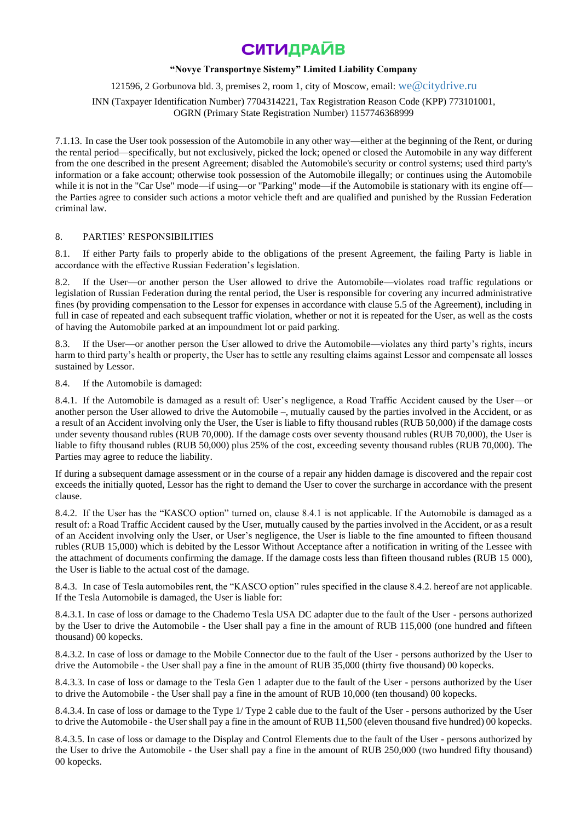### **"Novye Transportnye Sistemy" Limited Liability Company**

### 121596, 2 Gorbunova bld. 3, premises 2, room 1, city of Moscow, email: [we@citydrive.ru](mailto:we@citydrive.ru)

INN (Taxpayer Identification Number) 7704314221, Tax Registration Reason Code (KPP) 773101001, OGRN (Primary State Registration Number) 1157746368999

7.1.13. In case the User took possession of the Automobile in any other way—either at the beginning of the Rent, or during the rental period—specifically, but not exclusively, picked the lock; opened or closed the Automobile in any way different from the one described in the present Agreement; disabled the Automobile's security or control systems; used third party's information or a fake account; otherwise took possession of the Automobile illegally; or continues using the Automobile while it is not in the "Car Use" mode—if using—or "Parking" mode—if the Automobile is stationary with its engine off the Parties agree to consider such actions a motor vehicle theft and are qualified and punished by the Russian Federation criminal law.

### 8. PARTIES' RESPONSIBILITIES

8.1. If either Party fails to properly abide to the obligations of the present Agreement, the failing Party is liable in accordance with the effective Russian Federation's legislation.

If the User—or another person the User allowed to drive the Automobile—violates road traffic regulations or legislation of Russian Federation during the rental period, the User is responsible for covering any incurred administrative fines (by providing compensation to the Lessor for expenses in accordance with clause 5.5 of the Agreement), including in full in case of repeated and each subsequent traffic violation, whether or not it is repeated for the User, as well as the costs of having the Automobile parked at an impoundment lot or paid parking.

8.3. If the User—or another person the User allowed to drive the Automobile—violates any third party's rights, incurs harm to third party's health or property, the User has to settle any resulting claims against Lessor and compensate all losses sustained by Lessor.

8.4. If the Automobile is damaged:

8.4.1. If the Automobile is damaged as a result of: User's negligence, a Road Traffic Accident caused by the User—or another person the User allowed to drive the Automobile –, mutually caused by the parties involved in the Accident, or as a result of an Accident involving only the User, the User is liable to fifty thousand rubles (RUB 50,000) if the damage costs under seventy thousand rubles (RUB 70,000). If the damage costs over seventy thousand rubles (RUB 70,000), the User is liable to fifty thousand rubles (RUB 50,000) plus 25% of the cost, exceeding seventy thousand rubles (RUB 70,000). The Parties may agree to reduce the liability.

If during a subsequent damage assessment or in the course of a repair any hidden damage is discovered and the repair cost exceeds the initially quoted, Lessor has the right to demand the User to cover the surcharge in accordance with the present clause.

8.4.2. If the User has the "КASCO option" turned on, clause 8.4.1 is not applicable. If the Automobile is damaged as a result of: a Road Traffic Accident caused by the User, mutually caused by the parties involved in the Accident, or as a result of an Accident involving only the User, or User's negligence, the User is liable to the fine amounted to fifteen thousand rubles (RUB 15,000) which is debited by the Lessor Without Acceptance after a notification in writing of the Lessee with the attachment of documents confirming the damage. If the damage costs less than fifteen thousand rubles (RUB 15 000), the User is liable to the actual cost of the damage.

8.4.3. In case of Tesla automobiles rent, the "KASCO option" rules specified in the clause 8.4.2. hereof are not applicable. If the Tesla Automobile is damaged, the User is liable for:

8.4.3.1. In case of loss or damage to the Chademo Tesla USA DC adapter due to the fault of the User - persons authorized by the User to drive the Automobile - the User shall pay a fine in the amount of RUB 115,000 (one hundred and fifteen thousand) 00 kopecks.

8.4.3.2. In case of loss or damage to the Mobile Connector due to the fault of the User - persons authorized by the User to drive the Automobile - the User shall pay a fine in the amount of RUB 35,000 (thirty five thousand) 00 kopecks.

8.4.3.3. In case of loss or damage to the Tesla Gen 1 adapter due to the fault of the User - persons authorized by the User to drive the Automobile - the User shall pay a fine in the amount of RUB 10,000 (ten thousand) 00 kopecks.

8.4.3.4. In case of loss or damage to the Type 1/ Type 2 cable due to the fault of the User - persons authorized by the User to drive the Automobile - the User shall pay a fine in the amount of RUB 11,500 (eleven thousand five hundred) 00 kopecks.

8.4.3.5. In case of loss or damage to the Display and Control Elements due to the fault of the User - persons authorized by the User to drive the Automobile - the User shall pay a fine in the amount of RUB 250,000 (two hundred fifty thousand) 00 kopecks.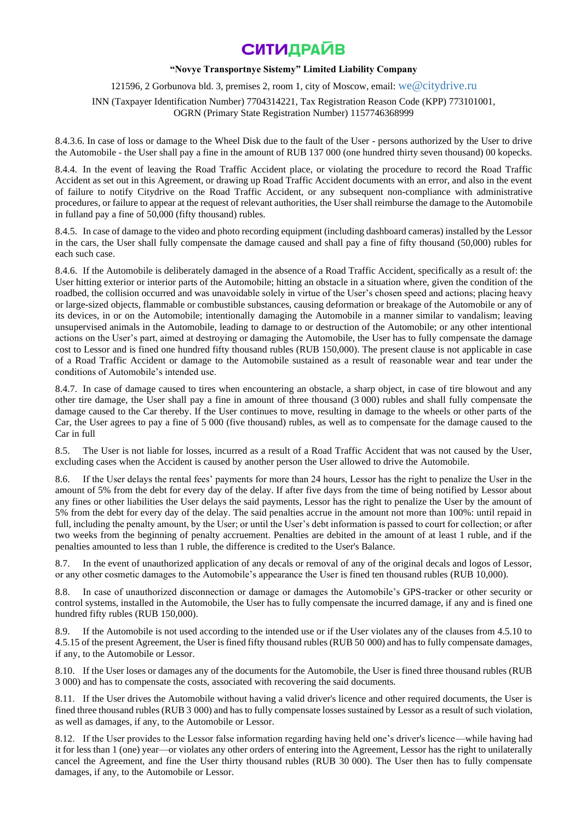### **"Novye Transportnye Sistemy" Limited Liability Company**

121596, 2 Gorbunova bld. 3, premises 2, room 1, city of Moscow, email: [we@citydrive.ru](mailto:we@citydrive.ru)

INN (Taxpayer Identification Number) 7704314221, Tax Registration Reason Code (KPP) 773101001, OGRN (Primary State Registration Number) 1157746368999

8.4.3.6. In case of loss or damage to the Wheel Disk due to the fault of the User - persons authorized by the User to drive the Automobile - the User shall pay a fine in the amount of RUB 137 000 (one hundred thirty seven thousand) 00 kopecks.

8.4.4. In the event of leaving the Road Traffic Accident place, or violating the procedure to record the Road Traffic Accident as set out in this Agreement, or drawing up Road Traffic Accident documents with an error, and also in the event of failure to notify Citydrive on the Road Traffic Accident, or any subsequent non-compliance with administrative procedures, or failure to appear at the request of relevant authorities, the User shall reimburse the damage to the Automobile in fulland pay a fine of 50,000 (fifty thousand) rubles.

8.4.5. In case of damage to the video and photo recording equipment (including dashboard cameras) installed by the Lessor in the cars, the User shall fully compensate the damage caused and shall pay a fine of fifty thousand (50,000) rubles for each such case.

8.4.6. If the Automobile is deliberately damaged in the absence of a Road Traffic Accident, specifically as a result of: the User hitting exterior or interior parts of the Automobile; hitting an obstacle in a situation where, given the condition of the roadbed, the collision occurred and was unavoidable solely in virtue of the User's chosen speed and actions; placing heavy or large-sized objects, flammable or combustible substances, causing deformation or breakage of the Automobile or any of its devices, in or on the Automobile; intentionally damaging the Automobile in a manner similar to vandalism; leaving unsupervised animals in the Automobile, leading to damage to or destruction of the Automobile; or any other intentional actions on the User's part, aimed at destroying or damaging the Automobile, the User has to fully compensate the damage cost to Lessor and is fined one hundred fifty thousand rubles (RUB 150,000). The present clause is not applicable in case of a Road Traffic Accident or damage to the Automobile sustained as a result of reasonable wear and tear under the conditions of Automobile's intended use.

8.4.7. In case of damage caused to tires when encountering an obstacle, a sharp object, in case of tire blowout and any other tire damage, the User shall pay a fine in amount of three thousand (3 000) rubles and shall fully compensate the damage caused to the Car thereby. If the User continues to move, resulting in damage to the wheels or other parts of the Car, the User agrees to pay a fine of 5 000 (five thousand) rubles, as well as to compensate for the damage caused to the Car in full

8.5. The User is not liable for losses, incurred as a result of a Road Traffic Accident that was not caused by the User, excluding cases when the Accident is caused by another person the User allowed to drive the Automobile.

8.6. If the User delays the rental fees' payments for more than 24 hours, Lessor has the right to penalize the User in the amount of 5% from the debt for every day of the delay. If after five days from the time of being notified by Lessor about any fines or other liabilities the User delays the said payments, Lessor has the right to penalize the User by the amount of 5% from the debt for every day of the delay. The said penalties accrue in the amount not more than 100%: until repaid in full, including the penalty amount, by the User; or until the User's debt information is passed to court for collection; or after two weeks from the beginning of penalty accruement. Penalties are debited in the amount of at least 1 ruble, and if the penalties amounted to less than 1 ruble, the difference is credited to the User's Balance.

8.7. In the event of unauthorized application of any decals or removal of any of the original decals and logos of Lessor, or any other cosmetic damages to the Automobile's appearance the User is fined ten thousand rubles (RUB 10,000).

8.8. In case of unauthorized disconnection or damage or damages the Automobile's GPS-tracker or other security or control systems, installed in the Automobile, the User has to fully compensate the incurred damage, if any and is fined one hundred fifty rubles (RUB 150,000).

8.9. If the Automobile is not used according to the intended use or if the User violates any of the clauses from 4.5.10 to 4.5.15 of the present Agreement, the User is fined fifty thousand rubles (RUB 50 000) and has to fully compensate damages, if any, to the Automobile or Lessor.

8.10. If the User loses or damages any of the documents for the Automobile, the User is fined three thousand rubles (RUB 3 000) and has to compensate the costs, associated with recovering the said documents.

8.11. If the User drives the Automobile without having a valid driver's licence and other required documents, the User is fined three thousand rubles (RUB 3 000) and has to fully compensate losses sustained by Lessor as a result of such violation, as well as damages, if any, to the Automobile or Lessor.

8.12. If the User provides to the Lessor false information regarding having held one's driver's licence—while having had it for less than 1 (one) year—or violates any other orders of entering into the Agreement, Lessor has the right to unilaterally cancel the Agreement, and fine the User thirty thousand rubles (RUB 30 000). The User then has to fully compensate damages, if any, to the Automobile or Lessor.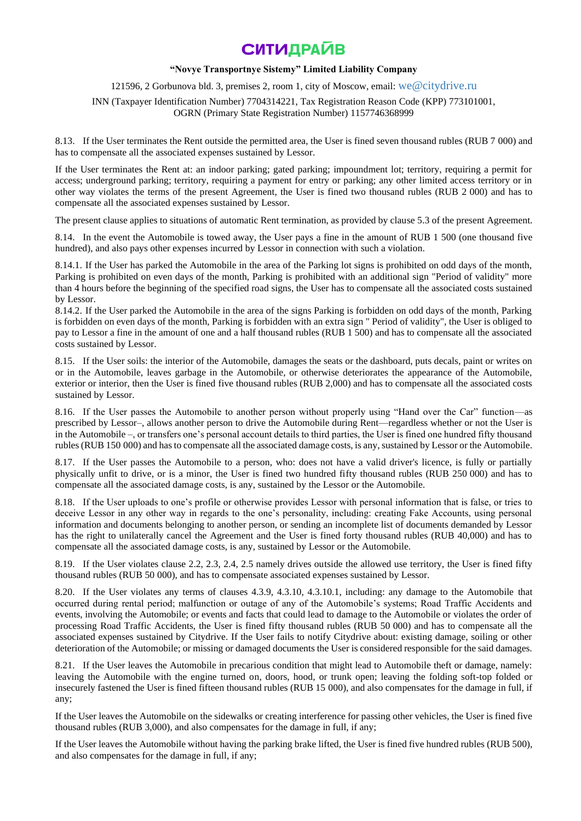### **"Novye Transportnye Sistemy" Limited Liability Company**

121596, 2 Gorbunova bld. 3, premises 2, room 1, city of Moscow, email: [we@citydrive.ru](mailto:we@citydrive.ru)

INN (Taxpayer Identification Number) 7704314221, Tax Registration Reason Code (KPP) 773101001, OGRN (Primary State Registration Number) 1157746368999

8.13. If the User terminates the Rent outside the permitted area, the User is fined seven thousand rubles (RUB 7 000) and has to compensate all the associated expenses sustained by Lessor.

If the User terminates the Rent at: an indoor parking; gated parking; impoundment lot; territory, requiring a permit for access; underground parking; territory, requiring a payment for entry or parking; any other limited access territory or in other way violates the terms of the present Agreement, the User is fined two thousand rubles (RUB 2 000) and has to compensate all the associated expenses sustained by Lessor.

The present clause applies to situations of automatic Rent termination, as provided by clause 5.3 of the present Agreement.

8.14. In the event the Automobile is towed away, the User pays a fine in the amount of RUB 1 500 (one thousand five hundred), and also pays other expenses incurred by Lessor in connection with such a violation.

8.14.1. If the User has parked the Automobile in the area of the Parking lot signs is prohibited on odd days of the month, Parking is prohibited on even days of the month, Parking is prohibited with an additional sign "Period of validity" more than 4 hours before the beginning of the specified road signs, the User has to compensate all the associated costs sustained by Lessor.

8.14.2. If the User parked the Automobile in the area of the signs Parking is forbidden on odd days of the month, Parking is forbidden on even days of the month, Parking is forbidden with an extra sign " Period of validity", the User is obliged to pay to Lessor a fine in the amount of one and a half thousand rubles (RUB 1 500) and has to compensate all the associated costs sustained by Lessor.

8.15. If the User soils: the interior of the Automobile, damages the seats or the dashboard, puts decals, paint or writes on or in the Automobile, leaves garbage in the Automobile, or otherwise deteriorates the appearance of the Automobile, exterior or interior, then the User is fined five thousand rubles (RUB 2,000) and has to compensate all the associated costs sustained by Lessor.

8.16. If the User passes the Automobile to another person without properly using "Hand over the Car" function—as prescribed by Lessor–, allows another person to drive the Automobile during Rent—regardless whether or not the User is in the Automobile –, or transfers one's personal account details to third parties, the User is fined one hundred fifty thousand rubles (RUB 150 000) and has to compensate all the associated damage costs, is any, sustained by Lessor or the Automobile.

8.17. If the User passes the Automobile to a person, who: does not have a valid driver's licence, is fully or partially physically unfit to drive, or is a minor, the User is fined two hundred fifty thousand rubles (RUB 250 000) and has to compensate all the associated damage costs, is any, sustained by the Lessor or the Automobile.

8.18. If the User uploads to one's profile or otherwise provides Lessor with personal information that is false, or tries to deceive Lessor in any other way in regards to the one's personality, including: creating Fake Accounts, using personal information and documents belonging to another person, or sending an incomplete list of documents demanded by Lessor has the right to unilaterally cancel the Agreement and the User is fined forty thousand rubles (RUB 40,000) and has to compensate all the associated damage costs, is any, sustained by Lessor or the Automobile.

8.19. If the User violates clause 2.2, 2.3, 2.4, 2.5 namely drives outside the allowed use territory, the User is fined fifty thousand rubles (RUB 50 000), and has to compensate associated expenses sustained by Lessor.

8.20. If the User violates any terms of clauses 4.3.9, 4.3.10, 4.3.10.1, including: any damage to the Automobile that occurred during rental period; malfunction or outage of any of the Automobile's systems; Road Traffic Accidents and events, involving the Automobile; or events and facts that could lead to damage to the Automobile or violates the order of processing Road Traffic Accidents, the User is fined fifty thousand rubles (RUB 50 000) and has to compensate all the associated expenses sustained by Citydrive. If the User fails to notify Citydrive about: existing damage, soiling or other deterioration of the Automobile; or missing or damaged documents the User is considered responsible for the said damages.

8.21. If the User leaves the Automobile in precarious condition that might lead to Automobile theft or damage, namely: leaving the Automobile with the engine turned on, doors, hood, or trunk open; leaving the folding soft-top folded or insecurely fastened the User is fined fifteen thousand rubles (RUB 15 000), and also compensates for the damage in full, if any;

If the User leaves the Automobile on the sidewalks or creating interference for passing other vehicles, the User is fined five thousand rubles (RUB 3,000), and also compensates for the damage in full, if any;

If the User leaves the Automobile without having the parking brake lifted, the User is fined five hundred rubles (RUB 500), and also compensates for the damage in full, if any;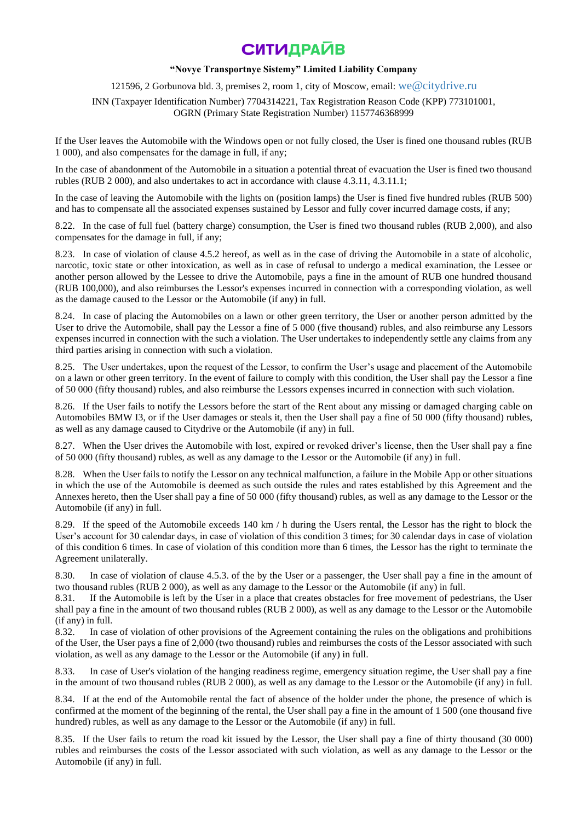## **"Novye Transportnye Sistemy" Limited Liability Company**

121596, 2 Gorbunova bld. 3, premises 2, room 1, city of Moscow, email: [we@citydrive.ru](mailto:we@citydrive.ru)

INN (Taxpayer Identification Number) 7704314221, Tax Registration Reason Code (KPP) 773101001, OGRN (Primary State Registration Number) 1157746368999

If the User leaves the Automobile with the Windows open or not fully closed, the User is fined one thousand rubles (RUB 1 000), and also compensates for the damage in full, if any;

In the case of abandonment of the Automobile in a situation a potential threat of evacuation the User is fined two thousand rubles (RUB 2 000), and also undertakes to act in accordance with clause 4.3.11, 4.3.11.1;

In the case of leaving the Automobile with the lights on (position lamps) the User is fined five hundred rubles (RUB 500) and has to compensate all the associated expenses sustained by Lessor and fully cover incurred damage costs, if any;

8.22. In the case of full fuel (battery charge) consumption, the User is fined two thousand rubles (RUB 2,000), and also compensates for the damage in full, if any;

8.23. In case of violation of clause 4.5.2 hereof, as well as in the case of driving the Automobile in a state of alcoholic, narcotic, toxic state or other intoxication, as well as in case of refusal to undergo a medical examination, the Lessee or another person allowed by the Lessee to drive the Automobile, pays a fine in the amount of RUB one hundred thousand (RUB 100,000), and also reimburses the Lessor's expenses incurred in connection with a corresponding violation, as well as the damage caused to the Lessor or the Automobile (if any) in full.

8.24. In case of placing the Automobiles on a lawn or other green territory, the User or another person admitted by the User to drive the Automobile, shall pay the Lessor a fine of 5 000 (five thousand) rubles, and also reimburse any Lessors expenses incurred in connection with the such a violation. The User undertakes to independently settle any claims from any third parties arising in connection with such a violation.

8.25. The User undertakes, upon the request of the Lessor, to confirm the User's usage and placement of the Automobile on a lawn or other green territory. In the event of failure to comply with this condition, the User shall pay the Lessor a fine of 50 000 (fifty thousand) rubles, and also reimburse the Lessors expenses incurred in connection with such violation.

8.26. If the User fails to notify the Lessors before the start of the Rent about any missing or damaged charging cable on Automobiles BMW I3, or if the User damages or steals it, then the User shall pay a fine of 50 000 (fifty thousand) rubles, as well as any damage caused to Citydrive or the Automobile (if any) in full.

8.27. When the User drives the Automobile with lost, expired or revoked driver's license, then the User shall pay a fine of 50 000 (fifty thousand) rubles, as well as any damage to the Lessor or the Automobile (if any) in full.

8.28. When the User fails to notify the Lessor on any technical malfunction, a failure in the Mobile App or other situations in which the use of the Automobile is deemed as such outside the rules and rates established by this Agreement and the Annexes hereto, then the User shall pay a fine of 50 000 (fifty thousand) rubles, as well as any damage to the Lessor or the Automobile (if any) in full.

8.29. If the speed of the Automobile exceeds 140 km / h during the Users rental, the Lessor has the right to block the User's account for 30 calendar days, in case of violation of this condition 3 times; for 30 calendar days in case of violation of this condition 6 times. In case of violation of this condition more than 6 times, the Lessor has the right to terminate the Agreement unilaterally.

8.30. In case of violation of clause 4.5.3. of the by the User or a passenger, the User shall pay a fine in the amount of two thousand rubles (RUB 2 000), as well as any damage to the Lessor or the Automobile (if any) in full.

8.31. If the Automobile is left by the User in a place that creates obstacles for free movement of pedestrians, the User shall pay a fine in the amount of two thousand rubles (RUB 2 000), as well as any damage to the Lessor or the Automobile (if any) in full.

8.32. In case of violation of other provisions of the Agreement containing the rules on the obligations and prohibitions of the User, the User pays a fine of 2,000 (two thousand) rubles and reimburses the costs of the Lessor associated with such violation, as well as any damage to the Lessor or the Automobile (if any) in full.

8.33. In case of User's violation of the hanging readiness regime, emergency situation regime, the User shall pay a fine in the amount of two thousand rubles (RUB 2 000), as well as any damage to the Lessor or the Automobile (if any) in full.

8.34. If at the end of the Automobile rental the fact of absence of the holder under the phone, the presence of which is confirmed at the moment of the beginning of the rental, the User shall pay a fine in the amount of 1 500 (one thousand five hundred) rubles, as well as any damage to the Lessor or the Automobile (if any) in full.

8.35. If the User fails to return the road kit issued by the Lessor, the User shall pay a fine of thirty thousand (30 000) rubles and reimburses the costs of the Lessor associated with such violation, as well as any damage to the Lessor or the Automobile (if any) in full.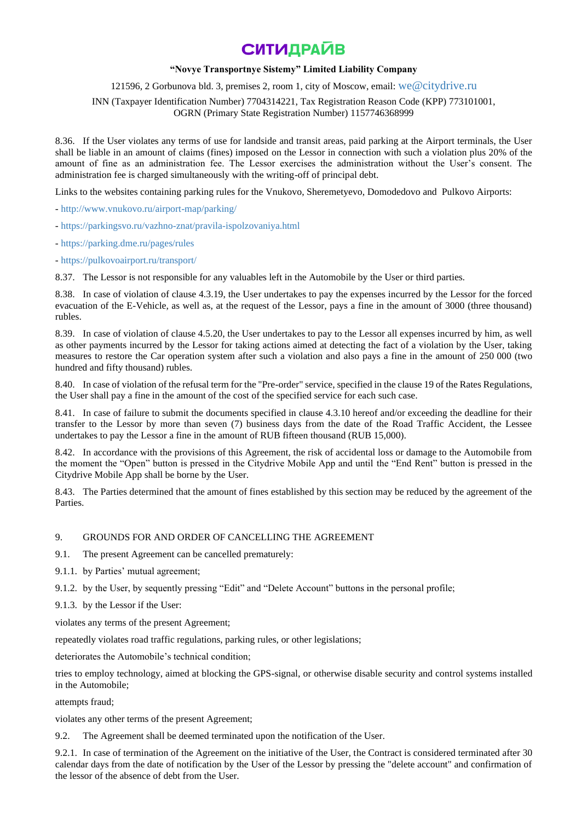## **"Novye Transportnye Sistemy" Limited Liability Company**

121596, 2 Gorbunova bld. 3, premises 2, room 1, city of Moscow, email: [we@citydrive.ru](mailto:we@citydrive.ru)

INN (Taxpayer Identification Number) 7704314221, Tax Registration Reason Code (KPP) 773101001, OGRN (Primary State Registration Number) 1157746368999

8.36. If the User violates any terms of use for landside and transit areas, paid parking at the Airport terminals, the User shall be liable in an amount of claims (fines) imposed on the Lessor in connection with such a violation plus 20% of the amount of fine as an administration fee. The Lessor exercises the administration without the User's consent. The administration fee is charged simultaneously with the writing-off of principal debt.

Links to the websites containing parking rules for the Vnukovo, Sheremetyevo, Domodedovo and Pulkovo Airports:

- <http://www.vnukovo.ru/airport-map/parking/>

- <https://parkingsvo.ru/vazhno-znat/pravila-ispolzovaniya.html>

- <https://parking.dme.ru/pages/rules>

- <https://pulkovoairport.ru/transport/>

8.37. The Lessor is not responsible for any valuables left in the Automobile by the User or third parties.

8.38. In case of violation of clause 4.3.19, the User undertakes to pay the expenses incurred by the Lessor for the forced evacuation of the E-Vehicle, as well as, at the request of the Lessor, pays a fine in the amount of 3000 (three thousand) rubles.

8.39. In case of violation of clause 4.5.20, the User undertakes to pay to the Lessor all expenses incurred by him, as well as other payments incurred by the Lessor for taking actions aimed at detecting the fact of a violation by the User, taking measures to restore the Car operation system after such a violation and also pays a fine in the amount of 250 000 (two hundred and fifty thousand) rubles.

8.40. In case of violation of the refusal term for the "Pre-order" service, specified in the clause 19 of the Rates Regulations, the User shall pay a fine in the amount of the cost of the specified service for each such case.

8.41. In case of failure to submit the documents specified in clause 4.3.10 hereof and/or exceeding the deadline for their transfer to the Lessor by more than seven (7) business days from the date of the Road Traffic Accident, the Lessee undertakes to pay the Lessor a fine in the amount of RUB fifteen thousand (RUB 15,000).

8.42. In accordance with the provisions of this Agreement, the risk of accidental loss or damage to the Automobile from the moment the "Open" button is pressed in the Citydrive Mobile App and until the "End Rent" button is pressed in the Citydrive Mobile App shall be borne by the User.

8.43. The Parties determined that the amount of fines established by this section may be reduced by the agreement of the **Parties** 

### 9. GROUNDS FOR AND ORDER OF CANCELLING THE AGREEMENT

9.1. The present Agreement can be cancelled prematurely:

- 9.1.1. by Parties' mutual agreement;
- 9.1.2. by the User, by sequently pressing "Edit" and "Delete Account" buttons in the personal profile;
- 9.1.3. by the Lessor if the User:

violates any terms of the present Agreement;

repeatedly violates road traffic regulations, parking rules, or other legislations;

deteriorates the Automobile's technical condition;

tries to employ technology, aimed at blocking the GPS-signal, or otherwise disable security and control systems installed in the Automobile;

attempts fraud;

violates any other terms of the present Agreement;

9.2. The Agreement shall be deemed terminated upon the notification of the User.

9.2.1. In case of termination of the Agreement on the initiative of the User, the Contract is considered terminated after 30 calendar days from the date of notification by the User of the Lessor by pressing the "delete account" and confirmation of the lessor of the absence of debt from the User.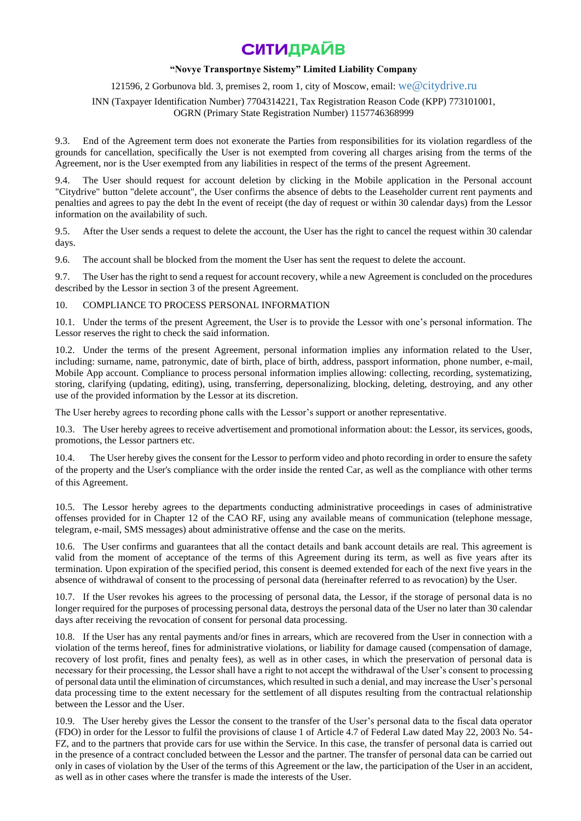### **"Novye Transportnye Sistemy" Limited Liability Company**

121596, 2 Gorbunova bld. 3, premises 2, room 1, city of Moscow, email: [we@citydrive.ru](mailto:we@citydrive.ru)

INN (Taxpayer Identification Number) 7704314221, Tax Registration Reason Code (KPP) 773101001, OGRN (Primary State Registration Number) 1157746368999

9.3. End of the Agreement term does not exonerate the Parties from responsibilities for its violation regardless of the grounds for cancellation, specifically the User is not exempted from covering all charges arising from the terms of the Agreement, nor is the User exempted from any liabilities in respect of the terms of the present Agreement.

9.4. The User should request for account deletion by clicking in the Mobile application in the Personal account "Citydrive" button "delete account", the User confirms the absence of debts to the Leaseholder current rent payments and penalties and agrees to pay the debt In the event of receipt (the day of request or within 30 calendar days) from the Lessor information on the availability of such.

9.5. After the User sends a request to delete the account, the User has the right to cancel the request within 30 calendar days.

9.6. The account shall be blocked from the moment the User has sent the request to delete the account.

9.7. The User has the right to send a request for account recovery, while a new Agreement is concluded on the procedures described by the Lessor in section 3 of the present Agreement.

### 10. COMPLIANCE TO PROCESS PERSONAL INFORMATION

10.1. Under the terms of the present Agreement, the User is to provide the Lessor with one's personal information. The Lessor reserves the right to check the said information.

10.2. Under the terms of the present Agreement, personal information implies any information related to the User, including: surname, name, patronymic, date of birth, place of birth, address, passport information, phone number, e-mail, Mobile App account. Compliance to process personal information implies allowing: collecting, recording, systematizing, storing, clarifying (updating, editing), using, transferring, depersonalizing, blocking, deleting, destroying, and any other use of the provided information by the Lessor at its discretion.

The User hereby agrees to recording phone calls with the Lessor's support or another representative.

10.3. The User hereby agrees to receive advertisement and promotional information about: the Lessor, its services, goods, promotions, the Lessor partners etc.

The User hereby gives the consent for the Lessor to perform video and photo recording in order to ensure the safety of the property and the User's compliance with the order inside the rented Car, as well as the compliance with other terms of this Agreement.

10.5. The Lessor hereby agrees to the departments conducting administrative proceedings in cases of administrative offenses provided for in Chapter 12 of the CAO RF, using any available means of communication (telephone message, telegram, e-mail, SMS messages) about administrative offense and the case on the merits.

10.6. The User confirms and guarantees that all the contact details and bank account details are real. This agreement is valid from the moment of acceptance of the terms of this Agreement during its term, as well as five years after its termination. Upon expiration of the specified period, this consent is deemed extended for each of the next five years in the absence of withdrawal of consent to the processing of personal data (hereinafter referred to as revocation) by the User.

10.7. If the User revokes his agrees to the processing of personal data, the Lessor, if the storage of personal data is no longer required for the purposes of processing personal data, destroys the personal data of the User no later than 30 calendar days after receiving the revocation of consent for personal data processing.

10.8. If the User has any rental payments and/or fines in arrears, which are recovered from the User in connection with a violation of the terms hereof, fines for administrative violations, or liability for damage caused (compensation of damage, recovery of lost profit, fines and penalty fees), as well as in other cases, in which the preservation of personal data is necessary for their processing, the Lessor shall have a right to not accept the withdrawal of the User's consent to processing of personal data until the elimination of circumstances, which resulted in such a denial, and may increase the User's personal data processing time to the extent necessary for the settlement of all disputes resulting from the contractual relationship between the Lessor and the User.

10.9. The User hereby gives the Lessor the consent to the transfer of the User's personal data to the fiscal data operator (FDO) in order for the Lessor to fulfil the provisions of clause 1 of Article 4.7 of Federal Law dated May 22, 2003 No. 54- FZ, and to the partners that provide cars for use within the Service. In this case, the transfer of personal data is carried out in the presence of a contract concluded between the Lessor and the partner. The transfer of personal data can be carried out only in cases of violation by the User of the terms of this Agreement or the law, the participation of the User in an accident, as well as in other cases where the transfer is made the interests of the User.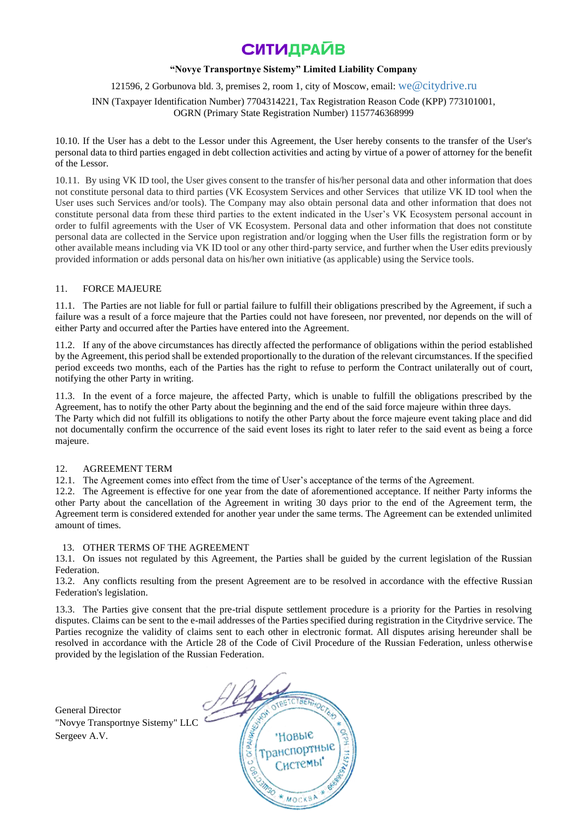## **"Novye Transportnye Sistemy" Limited Liability Company**

## 121596, 2 Gorbunova bld. 3, premises 2, room 1, city of Moscow, email: [we@citydrive.ru](mailto:we@citydrive.ru)

INN (Taxpayer Identification Number) 7704314221, Tax Registration Reason Code (KPP) 773101001, OGRN (Primary State Registration Number) 1157746368999

10.10. If the User has a debt to the Lessor under this Agreement, the User hereby consents to the transfer of the User's personal data to third parties engaged in debt collection activities and acting by virtue of a power of attorney for the benefit of the Lessor.

10.11. By using VK ID tool, the User gives consent to the transfer of his/her personal data and other information that does not constitute personal data to third parties (VK Ecosystem Services and other Services that utilize VK ID tool when the User uses such Services and/or tools). The Company may also obtain personal data and other information that does not constitute personal data from these third parties to the extent indicated in the User's VK Ecosystem personal account in order to fulfil agreements with the User of VK Ecosystem. Personal data and other information that does not constitute personal data are collected in the Service upon registration and/or logging when the User fills the registration form or by other available means including via VK ID tool or any other third-party service, and further when the User edits previously provided information or adds personal data on his/her own initiative (as applicable) using the Service tools.

## 11. FORCE MAJEURE

11.1. The Parties are not liable for full or partial failure to fulfill their obligations prescribed by the Agreement, if such a failure was a result of a force majeure that the Parties could not have foreseen, nor prevented, nor depends on the will of either Party and occurred after the Parties have entered into the Agreement.

11.2. If any of the above circumstances has directly affected the performance of obligations within the period established by the Agreement, this period shall be extended proportionally to the duration of the relevant circumstances. If the specified period exceeds two months, each of the Parties has the right to refuse to perform the Contract unilaterally out of court, notifying the other Party in writing.

11.3. In the event of a force majeure, the affected Party, which is unable to fulfill the obligations prescribed by the Agreement, has to notify the other Party about the beginning and the end of the said force majeure within three days. The Party which did not fulfill its obligations to notify the other Party about the force majeure event taking place and did not documentally confirm the occurrence of the said event loses its right to later refer to the said event as being a force majeure.

### 12. AGREEMENT TERM

12.1. The Agreement comes into effect from the time of User's acceptance of the terms of the Agreement.

12.2. The Agreement is effective for one year from the date of aforementioned acceptance. If neither Party informs the other Party about the cancellation of the Agreement in writing 30 days prior to the end of the Agreement term, the Agreement term is considered extended for another year under the same terms. The Agreement can be extended unlimited amount of times.

### 13. OTHER TERMS OF THE AGREEMENT

13.1. On issues not regulated by this Agreement, the Parties shall be guided by the current legislation of the Russian Federation.

13.2. Any conflicts resulting from the present Agreement are to be resolved in accordance with the effective Russian Federation's legislation.

13.3. The Parties give consent that the pre-trial dispute settlement procedure is a priority for the Parties in resolving disputes. Claims can be sent to the e-mail addresses of the Parties specified during registration in the Citydrive service. The Parties recognize the validity of claims sent to each other in electronic format. All disputes arising hereunder shall be resolved in accordance with the Article 28 of the Code of Civil Procedure of the Russian Federation, unless otherwise provided by the legislation of the Russian Federation.

General Director "Novye Transportnye Sistemy" LLC Sergeev A.V.

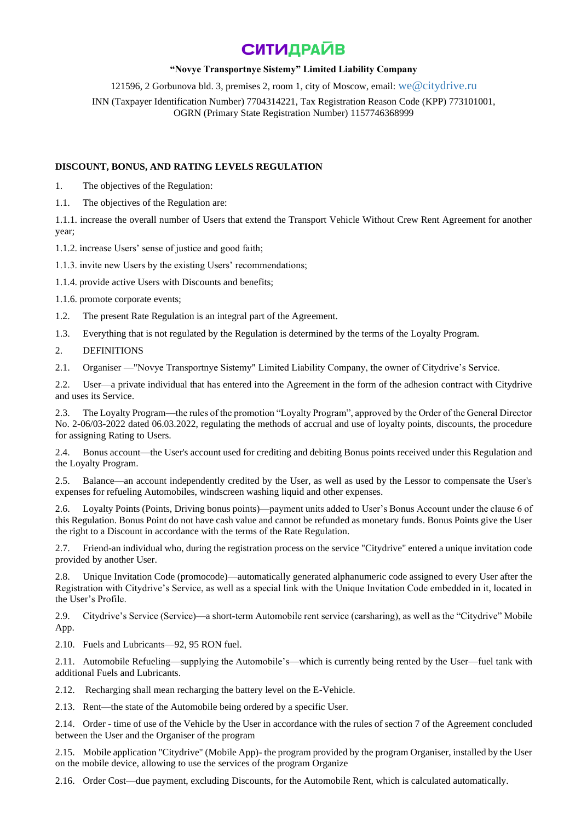## **"Novye Transportnye Sistemy" Limited Liability Company**

121596, 2 Gorbunova bld. 3, premises 2, room 1, city of Moscow, email: [we@citydrive.ru](mailto:we@citydrive.ru)

INN (Taxpayer Identification Number) 7704314221, Tax Registration Reason Code (KPP) 773101001, OGRN (Primary State Registration Number) 1157746368999

## **DISCOUNT, BONUS, AND RATING LEVELS REGULATION**

1. The objectives of the Regulation:

1.1. The objectives of the Regulation are:

1.1.1. increase the overall number of Users that extend the Transport Vehicle Without Crew Rent Agreement for another year;

1.1.2. increase Users' sense of justice and good faith;

1.1.3. invite new Users by the existing Users' recommendations;

1.1.4. provide active Users with Discounts and benefits;

1.1.6. promote corporate events;

1.2. The present Rate Regulation is an integral part of the Agreement.

1.3. Everything that is not regulated by the Regulation is determined by the terms of the Loyalty Program.

2. DEFINITIONS

2.1. Organiser —"Novye Transportnye Sistemy" Limited Liability Company, the owner of Citydrive's Service.

2.2. User—a private individual that has entered into the Agreement in the form of the adhesion contract with Citydrive and uses its Service.

2.3. The Loyalty Program—the rules of the promotion "Loyalty Program", approved by the Order of the General Director No. 2-06/03-2022 dated 06.03.2022, regulating the methods of accrual and use of loyalty points, discounts, the procedure for assigning Rating to Users.

2.4. Bonus account—the User's account used for crediting and debiting Bonus points received under this Regulation and the Loyalty Program.

2.5. Balance—an account independently credited by the User, as well as used by the Lessor to compensate the User's expenses for refueling Automobiles, windscreen washing liquid and other expenses.

2.6. Loyalty Points (Points, Driving bonus points)—payment units added to User's Bonus Account under the clause 6 of this Regulation. Bonus Point do not have cash value and cannot be refunded as monetary funds. Bonus Points give the User the right to a Discount in accordance with the terms of the Rate Regulation.

2.7. Friend-an individual who, during the registration process on the service "Citydrive" entered a unique invitation code provided by another User.

2.8. Unique Invitation Code (promocode)—automatically generated alphanumeric code assigned to every User after the Registration with Citydrive's Service, as well as a special link with the Unique Invitation Code embedded in it, located in the User's Profile.

2.9. Citydrive's Service (Service)—a short-term Automobile rent service (carsharing), as well as the "Citydrive" Mobile App.

2.10. Fuels and Lubricants—92, 95 RON fuel.

2.11. Automobile Refueling—supplying the Automobile's—which is currently being rented by the User—fuel tank with additional Fuels and Lubricants.

2.12. Recharging shall mean recharging the battery level on the E-Vehicle.

2.13. Rent—the state of the Automobile being ordered by a specific User.

2.14. Order - time of use of the Vehicle by the User in accordance with the rules of section 7 of the Agreement concluded between the User and the Organiser of the program

2.15. Mobile application "Citydrive" (Mobile App)- the program provided by the program Organiser, installed by the User on the mobile device, allowing to use the services of the program Organize

2.16. Order Cost—due payment, excluding Discounts, for the Automobile Rent, which is calculated automatically.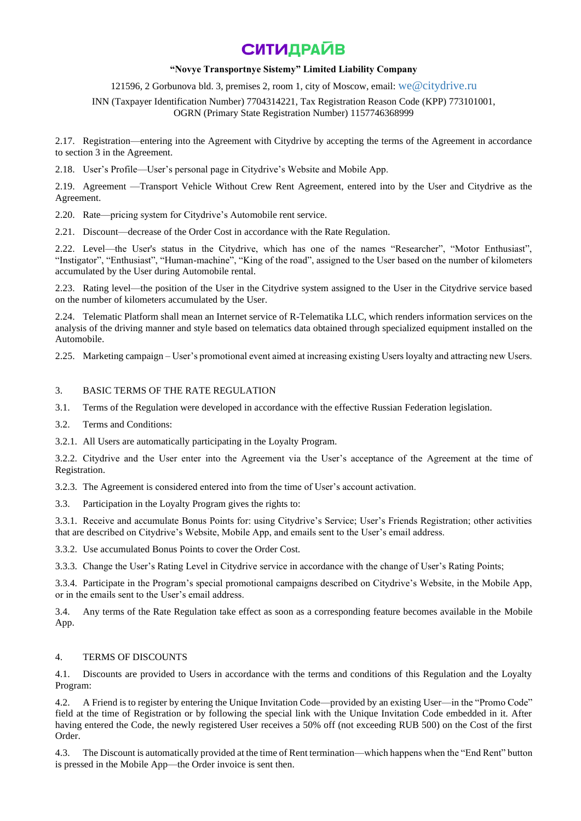### **"Novye Transportnye Sistemy" Limited Liability Company**

121596, 2 Gorbunova bld. 3, premises 2, room 1, city of Moscow, email: [we@citydrive.ru](mailto:we@citydrive.ru)

INN (Taxpayer Identification Number) 7704314221, Tax Registration Reason Code (KPP) 773101001, OGRN (Primary State Registration Number) 1157746368999

2.17. Registration—entering into the Agreement with Citydrive by accepting the terms of the Agreement in accordance to section 3 in the Agreement.

2.18. User's Profile—User's personal page in Citydrive's Website and Mobile App.

2.19. Agreement —Transport Vehicle Without Crew Rent Agreement, entered into by the User and Citydrive as the Agreement.

2.20. Rate—pricing system for Citydrive's Automobile rent service.

2.21. Discount—decrease of the Order Cost in accordance with the Rate Regulation.

2.22. Level—the User's status in the Citydrive, which has one of the names "Researcher", "Motor Enthusiast", "Instigator", "Enthusiast", "Human-machine", "King of the road", assigned to the User based on the number of kilometers accumulated by the User during Automobile rental.

2.23. Rating level—the position of the User in the Citydrive system assigned to the User in the Citydrive service based on the number of kilometers accumulated by the User.

2.24. Telematic Platform shall mean an Internet service of R-Telematika LLC, which renders information services on the analysis of the driving manner and style based on telematics data obtained through specialized equipment installed on the Automobile.

2.25. Marketing campaign – User's promotional event aimed at increasing existing Users loyalty and attracting new Users.

### 3. BASIC TERMS OF THE RATE REGULATION

3.1. Terms of the Regulation were developed in accordance with the effective Russian Federation legislation.

3.2. Terms and Conditions:

3.2.1. All Users are automatically participating in the Loyalty Program.

3.2.2. Citydrive and the User enter into the Agreement via the User's acceptance of the Agreement at the time of Registration.

3.2.3. The Agreement is considered entered into from the time of User's account activation.

3.3. Participation in the Loyalty Program gives the rights to:

3.3.1. Receive and accumulate Bonus Points for: using Citydrive's Service; User's Friends Registration; other activities that are described on Citydrive's Website, Mobile App, and emails sent to the User's email address.

3.3.2. Use accumulated Bonus Points to cover the Order Cost.

3.3.3. Change the User's Rating Level in Citydrive service in accordance with the change of User's Rating Points;

3.3.4. Participate in the Program's special promotional campaigns described on Citydrive's Website, in the Mobile App, or in the emails sent to the User's email address.

3.4. Any terms of the Rate Regulation take effect as soon as a corresponding feature becomes available in the Mobile App.

### 4. TERMS OF DISCOUNTS

4.1. Discounts are provided to Users in accordance with the terms and conditions of this Regulation and the Loyalty Program:

4.2. A Friend is to register by entering the Unique Invitation Code—provided by an existing User—in the "Promo Code" field at the time of Registration or by following the special link with the Unique Invitation Code embedded in it. After having entered the Code, the newly registered User receives a 50% off (not exceeding RUB 500) on the Cost of the first Order.

4.3. The Discount is automatically provided at the time of Rent termination—which happens when the "End Rent" button is pressed in the Mobile App—the Order invoice is sent then.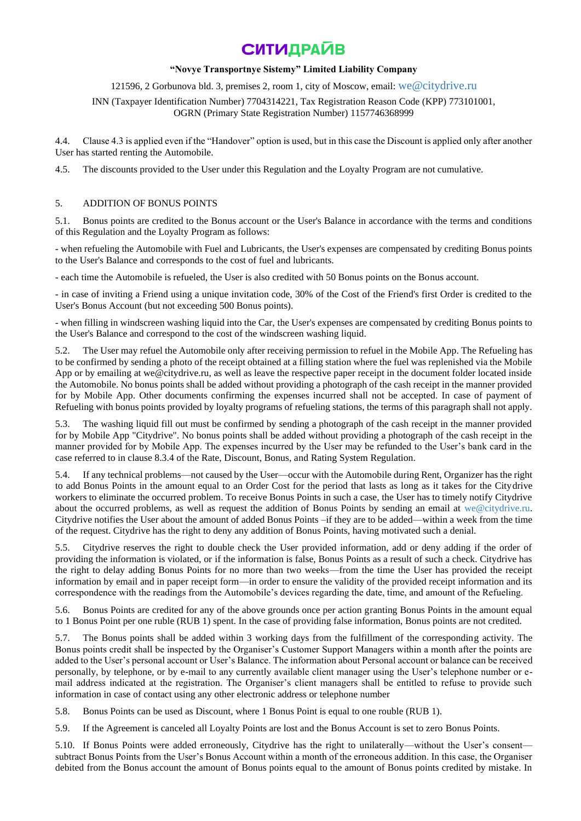## **"Novye Transportnye Sistemy" Limited Liability Company**

121596, 2 Gorbunova bld. 3, premises 2, room 1, city of Moscow, email: [we@citydrive.ru](mailto:we@citydrive.ru)

INN (Taxpayer Identification Number) 7704314221, Tax Registration Reason Code (KPP) 773101001, OGRN (Primary State Registration Number) 1157746368999

4.4. Clause 4.3 is applied even if the "Handover" option is used, but in this case the Discount is applied only after another User has started renting the Automobile.

4.5. The discounts provided to the User under this Regulation and the Loyalty Program are not cumulative.

## 5. ADDITION OF BONUS POINTS

5.1. Bonus points are credited to the Bonus account or the User's Balance in accordance with the terms and conditions of this Regulation and the Loyalty Program as follows:

- when refueling the Automobile with Fuel and Lubricants, the User's expenses are compensated by crediting Bonus points to the User's Balance and corresponds to the cost of fuel and lubricants.

- each time the Automobile is refueled, the User is also credited with 50 Bonus points on the Bonus account.

- in case of inviting a Friend using a unique invitation code, 30% of the Cost of the Friend's first Order is credited to the User's Bonus Account (but not exceeding 500 Bonus points).

- when filling in windscreen washing liquid into the Car, the User's expenses are compensated by crediting Bonus points to the User's Balance and correspond to the cost of the windscreen washing liquid.

5.2. The User may refuel the Automobile only after receiving permission to refuel in the Mobile App. The Refueling has to be confirmed by sending a photo of the receipt obtained at a filling station where the fuel was replenished via the Mobile App or by emailing at we@citydrive.ru, as well as leave the respective paper receipt in the document folder located inside the Automobile. No bonus points shall be added without providing a photograph of the cash receipt in the manner provided for by Mobile App. Other documents confirming the expenses incurred shall not be accepted. In case of payment of Refueling with bonus points provided by loyalty programs of refueling stations, the terms of this paragraph shall not apply.

5.3. The washing liquid fill out must be confirmed by sending a photograph of the cash receipt in the manner provided for by Mobile App "Citydrive". No bonus points shall be added without providing a photograph of the cash receipt in the manner provided for by Mobile App. The expenses incurred by the User may be refunded to the User's bank card in the case referred to in clause 8.3.4 of the Rate, Discount, Bonus, and Rating System Regulation.

5.4. If any technical problems—not caused by the User—occur with the Automobile during Rent, Organizer has the right to add Bonus Points in the amount equal to an Order Cost for the period that lasts as long as it takes for the Citydrive workers to eliminate the occurred problem. To receive Bonus Points in such a case, the User has to timely notify Citydrive about the occurred problems, as well as request the addition of Bonus Points by sending an email at [we@citydrive.ru.](mailto:we@citydrive.ru)  Citydrive notifies the User about the amount of added Bonus Points –if they are to be added—within a week from the time of the request. Citydrive has the right to deny any addition of Bonus Points, having motivated such a denial.

5.5. Citydrive reserves the right to double check the User provided information, add or deny adding if the order of providing the information is violated, or if the information is false, Bonus Points as a result of such a check. Citydrive has the right to delay adding Bonus Points for no more than two weeks—from the time the User has provided the receipt information by email and in paper receipt form—in order to ensure the validity of the provided receipt information and its correspondence with the readings from the Automobile's devices regarding the date, time, and amount of the Refueling.

5.6. Bonus Points are credited for any of the above grounds once per action granting Bonus Points in the amount equal to 1 Bonus Point per one ruble (RUB 1) spent. In the case of providing false information, Bonus points are not credited.

5.7. The Bonus points shall be added within 3 working days from the fulfillment of the corresponding activity. The Bonus points credit shall be inspected by the Organiser's Customer Support Managers within a month after the points are added to the User's personal account or User's Balance. The information about Personal account or balance can be received personally, by telephone, or by e-mail to any currently available client manager using the User's telephone number or email address indicated at the registration. The Organiser's client managers shall be entitled to refuse to provide such information in case of contact using any other electronic address or telephone number

5.8. Bonus Points can be used as Discount, where 1 Bonus Point is equal to one rouble (RUB 1).

5.9. If the Agreement is canceled all Loyalty Points are lost and the Bonus Account is set to zero Bonus Points.

5.10. If Bonus Points were added erroneously, Citydrive has the right to unilaterally—without the User's consent subtract Bonus Points from the User's Bonus Account within a month of the erroneous addition. In this case, the Organiser debited from the Bonus account the amount of Bonus points equal to the amount of Bonus points credited by mistake. In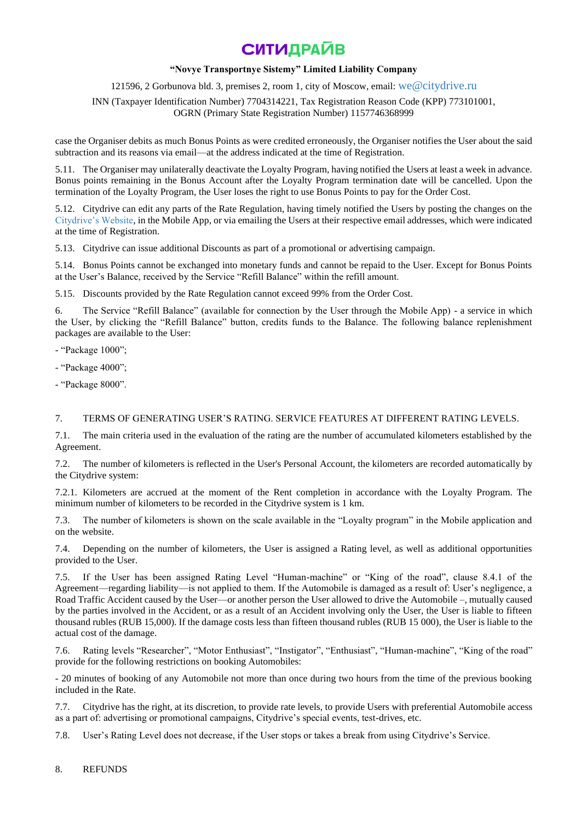## **"Novye Transportnye Sistemy" Limited Liability Company**

121596, 2 Gorbunova bld. 3, premises 2, room 1, city of Moscow, email: [we@citydrive.ru](mailto:we@citydrive.ru)

INN (Taxpayer Identification Number) 7704314221, Tax Registration Reason Code (KPP) 773101001, OGRN (Primary State Registration Number) 1157746368999

case the Organiser debits as much Bonus Points as were credited erroneously, the Organiser notifies the User about the said subtraction and its reasons via email—at the address indicated at the time of Registration.

5.11. The Organiser may unilaterally deactivate the Loyalty Program, having notified the Users at least a week in advance. Bonus points remaining in the Bonus Account after the Loyalty Program termination date will be cancelled. Upon the termination of the Loyalty Program, the User loses the right to use Bonus Points to pay for the Order Cost.

5.12. Citydrive can edit any parts of the Rate Regulation, having timely notified the Users by posting the changes on the [Citydrive's Website,](https://citydrive.ru/) in the Mobile App, or via emailing the Users at their respective email addresses, which were indicated at the time of Registration.

5.13. Citydrive can issue additional Discounts as part of a promotional or advertising campaign.

5.14. Bonus Points cannot be exchanged into monetary funds and cannot be repaid to the User. Except for Bonus Points at the User's Balance, received by the Service "Refill Balance" within the refill amount.

5.15. Discounts provided by the Rate Regulation cannot exceed 99% from the Order Cost.

6. The Service "Refill Balance" (available for connection by the User through the Mobile App) - a service in which the User, by clicking the "Refill Balance" button, credits funds to the Balance. The following balance replenishment packages are available to the User:

- "Package 1000";

- "Package 4000";

- "Package 8000".

### 7. TERMS OF GENERATING USER'S RATING. SERVICE FEATURES AT DIFFERENT RATING LEVELS.

7.1. The main criteria used in the evaluation of the rating are the number of accumulated kilometers established by the Agreement.

7.2. The number of kilometers is reflected in the User's Personal Account, the kilometers are recorded automatically by the Citydrive system:

7.2.1. Kilometers are accrued at the moment of the Rent completion in accordance with the Loyalty Program. The minimum number of kilometers to be recorded in the Citydrive system is 1 km.

7.3. The number of kilometers is shown on the scale available in the "Loyalty program" in the Mobile application and on the website.

7.4. Depending on the number of kilometers, the User is assigned a Rating level, as well as additional opportunities provided to the User.

7.5. If the User has been assigned Rating Level "Human-machine" or "King of the road", clause 8.4.1 of the Agreement—regarding liability—is not applied to them. If the Automobile is damaged as a result of: User's negligence, a Road Traffic Accident caused by the User—or another person the User allowed to drive the Automobile –, mutually caused by the parties involved in the Accident, or as a result of an Accident involving only the User, the User is liable to fifteen thousand rubles (RUB 15,000). If the damage costs less than fifteen thousand rubles (RUB 15 000), the User is liable to the actual cost of the damage.

Rating levels "Researcher", "Motor Enthusiast", "Instigator", "Enthusiast", "Human-machine", "King of the road" provide for the following restrictions on booking Automobiles:

- 20 minutes of booking of any Automobile not more than once during two hours from the time of the previous booking included in the Rate.

7.7. Citydrive has the right, at its discretion, to provide rate levels, to provide Users with preferential Automobile access as a part of: advertising or promotional campaigns, Citydrive's special events, test-drives, etc.

7.8. User's Rating Level does not decrease, if the User stops or takes a break from using Citydrive's Service.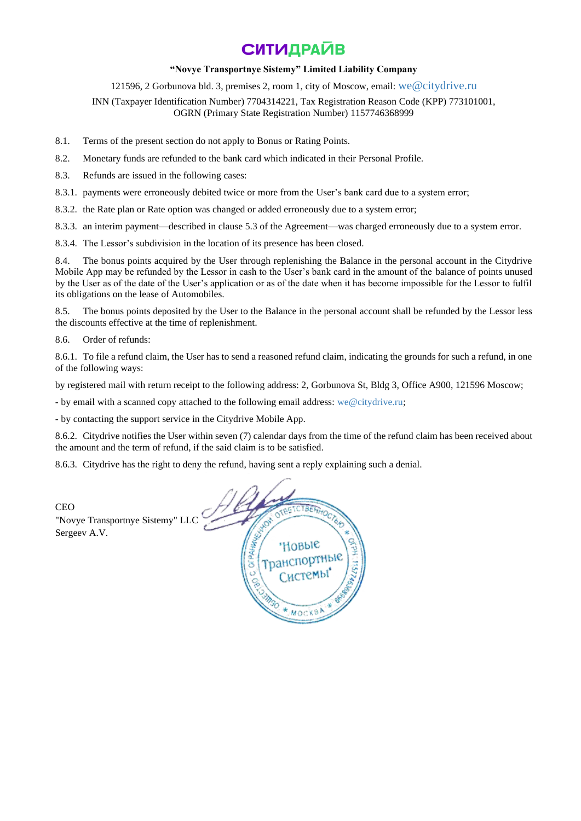### **"Novye Transportnye Sistemy" Limited Liability Company**

121596, 2 Gorbunova bld. 3, premises 2, room 1, city of Moscow, email: [we@citydrive.ru](mailto:we@citydrive.ru)

INN (Taxpayer Identification Number) 7704314221, Tax Registration Reason Code (KPP) 773101001, OGRN (Primary State Registration Number) 1157746368999

- 8.1. Terms of the present section do not apply to Bonus or Rating Points.
- 8.2. Monetary funds are refunded to the bank card which indicated in their Personal Profile.
- 8.3. Refunds are issued in the following cases:
- 8.3.1. payments were erroneously debited twice or more from the User's bank card due to a system error;
- 8.3.2. the Rate plan or Rate option was changed or added erroneously due to a system error;
- 8.3.3. an interim payment—described in clause 5.3 of the Agreement—was charged erroneously due to a system error.
- 8.3.4. The Lessor's subdivision in the location of its presence has been closed.

8.4. The bonus points acquired by the User through replenishing the Balance in the personal account in the Citydrive Mobile App may be refunded by the Lessor in cash to the User's bank card in the amount of the balance of points unused by the User as of the date of the User's application or as of the date when it has become impossible for the Lessor to fulfil its obligations on the lease of Automobiles.

8.5. The bonus points deposited by the User to the Balance in the personal account shall be refunded by the Lessor less the discounts effective at the time of replenishment.

8.6. Order of refunds:

8.6.1. To file a refund claim, the User has to send a reasoned refund claim, indicating the grounds for such a refund, in one of the following ways:

by registered mail with return receipt to the following address: 2, Gorbunova St, Bldg 3, Office A900, 121596 Moscow;

- by email with a scanned copy attached to the following email address: [we@citydrive.ru;](mailto:we@citydrive.ru)

- by contacting the support service in the Citydrive Mobile App.

8.6.2. Citydrive notifies the User within seven (7) calendar days from the time of the refund claim has been received about the amount and the term of refund, if the said claim is to be satisfied.

8.6.3. Citydrive has the right to deny the refund, having sent a reply explaining such a denial.

| <b>CEO</b><br>"Novye Transportnye Sistemy" LLC<br>Sergeev A.V. | OTBETCTBEL<br>÷<br>HOBble <sup></sup><br>'Транспортные)<br>嗪 |
|----------------------------------------------------------------|--------------------------------------------------------------|
|                                                                | * MOCKBA                                                     |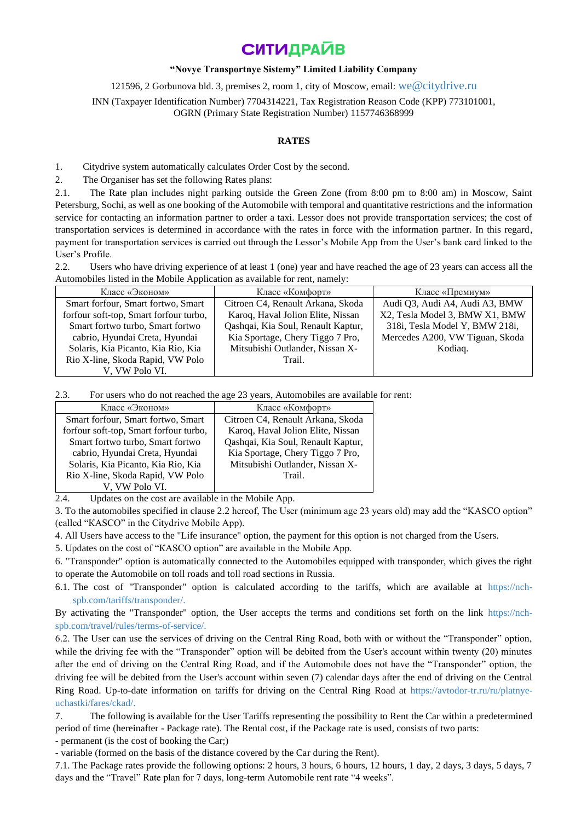### **"Novye Transportnye Sistemy" Limited Liability Company**

121596, 2 Gorbunova bld. 3, premises 2, room 1, city of Moscow, email: [we@citydrive.ru](mailto:we@citydrive.ru)

INN (Taxpayer Identification Number) 7704314221, Tax Registration Reason Code (KPP) 773101001, OGRN (Primary State Registration Number) 1157746368999

### **RATES**

1. Citydrive system automatically calculates Order Cost by the second.

2. The Organiser has set the following Rates plans:

2.1. The Rate plan includes night parking outside the Green Zone (from 8:00 pm to 8:00 am) in Moscow, Saint Petersburg, Sochi, as well as one booking of the Automobile with temporal and quantitative restrictions and the information service for contacting an information partner to order a taxi. Lessor does not provide transportation services; the cost of transportation services is determined in accordance with the rates in force with the information partner. In this regard, payment for transportation services is carried out through the Lessor's Mobile App from the User's bank card linked to the User's Profile.

2.2. Users who have driving experience of at least 1 (one) year and have reached the age of 23 years can access all the Automobiles listed in the Mobile Application as available for rent, namely:

| Класс «Эконом»                         | Класс «Комфорт»                    | Класс «Премиум»                 |
|----------------------------------------|------------------------------------|---------------------------------|
| Smart forfour, Smart fortwo, Smart     | Citroen C4, Renault Arkana, Skoda  | Audi Q3, Audi A4, Audi A3, BMW  |
| forfour soft-top, Smart forfour turbo, | Karoq, Haval Jolion Elite, Nissan  | X2, Tesla Model 3, BMW X1, BMW  |
| Smart fortwo turbo, Smart fortwo       | Qashqai, Kia Soul, Renault Kaptur, | 318i, Tesla Model Y, BMW 218i,  |
| cabrio, Hyundai Creta, Hyundai         | Kia Sportage, Chery Tiggo 7 Pro,   | Mercedes A200, VW Tiguan, Skoda |
| Solaris, Kia Picanto, Kia Rio, Kia     | Mitsubishi Outlander, Nissan X-    | Kodiaq.                         |
| Rio X-line, Skoda Rapid, VW Polo       | Trail.                             |                                 |
| V, VW Polo VI.                         |                                    |                                 |

2.3. For users who do not reached the age 23 years, Automobiles are available for rent:

| Класс «Эконом»                         | Класс «Комфорт»                    |
|----------------------------------------|------------------------------------|
| Smart forfour, Smart fortwo, Smart     | Citroen C4, Renault Arkana, Skoda  |
| forfour soft-top, Smart forfour turbo, | Karoq, Haval Jolion Elite, Nissan  |
| Smart fortwo turbo, Smart fortwo       | Qashqai, Kia Soul, Renault Kaptur, |
| cabrio, Hyundai Creta, Hyundai         | Kia Sportage, Chery Tiggo 7 Pro,   |
| Solaris, Kia Picanto, Kia Rio, Kia     | Mitsubishi Outlander, Nissan X-    |
| Rio X-line, Skoda Rapid, VW Polo       | Trail.                             |
| V, VW Polo VI.                         |                                    |

2.4. Updates on the cost are available in the Mobile App.

3. To the automobiles specified in clause 2.2 hereof, The User (minimum age 23 years old) may add the "KASCO option" (called "КASCO" in the Citydrive Mobile App).

4. All Users have access to the "Life insurance" option, the payment for this option is not charged from the Users.

5. Updates on the cost of "КASCO option" are available in the Mobile App.

6. "Transponder" option is automatically connected to the Automobiles equipped with transponder, which gives the right to operate the Automobile on toll roads and toll road sections in Russia.

6.1. The cost of "Transponder" option is calculated according to the tariffs, which are available at [https://nch](https://nch-spb.com/tariffs/transponder/)[spb.com/tariffs/transponder/.](https://nch-spb.com/tariffs/transponder/)

By activating the "Transponder" option, the User accepts the terms and conditions set forth on the link [https://nch](https://nch-spb.com/travel/rules/terms-of-service/)[spb.com/travel/rules/terms-of-service/.](https://nch-spb.com/travel/rules/terms-of-service/)

6.2. The User can use the services of driving on the Central Ring Road, both with or without the "Transponder" option, while the driving fee with the "Transponder" option will be debited from the User's account within twenty (20) minutes after the end of driving on the Central Ring Road, and if the Automobile does not have the "Transponder" option, the driving fee will be debited from the User's account within seven (7) calendar days after the end of driving on the Central Ring Road. Up-to-date information on tariffs for driving on the Central Ring Road at [https://avtodor-tr.ru/ru/platnye](https://avtodor-tr.ru/ru/platnye-uchastki/fares/ckad/)[uchastki/fares/ckad/.](https://avtodor-tr.ru/ru/platnye-uchastki/fares/ckad/)

7. The following is available for the User Tariffs representing the possibility to Rent the Car within a predetermined period of time (hereinafter - Package rate). The Rental cost, if the Package rate is used, consists of two parts:

- permanent (is the cost of booking the Car;)

- variable (formed on the basis of the distance covered by the Car during the Rent).

7.1. The Package rates provide the following options: 2 hours, 3 hours, 6 hours, 12 hours, 1 day, 2 days, 3 days, 5 days, 7 days and the "Travel" Rate plan for 7 days, long-term Automobile rent rate "4 weeks".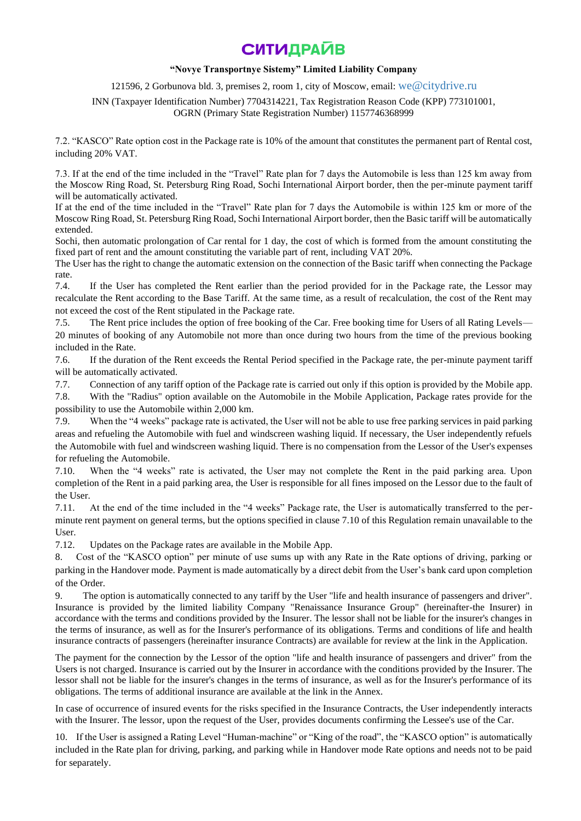## **"Novye Transportnye Sistemy" Limited Liability Company**

121596, 2 Gorbunova bld. 3, premises 2, room 1, city of Moscow, email: [we@citydrive.ru](mailto:we@citydrive.ru)

INN (Taxpayer Identification Number) 7704314221, Tax Registration Reason Code (KPP) 773101001, OGRN (Primary State Registration Number) 1157746368999

7.2. "КASCO" Rate option cost in the Package rate is 10% of the amount that constitutes the permanent part of Rental cost, including 20% VAT.

7.3. If at the end of the time included in the "Travel" Rate plan for 7 days the Automobile is less than 125 km away from the Moscow Ring Road, St. Petersburg Ring Road, Sochi International Airport border, then the per-minute payment tariff will be automatically activated.

If at the end of the time included in the "Travel" Rate plan for 7 days the Automobile is within 125 km or more of the Moscow Ring Road, St. Petersburg Ring Road, Sochi International Airport border, then the Basic tariff will be automatically extended.

Sochi, then automatic prolongation of Car rental for 1 day, the cost of which is formed from the amount constituting the fixed part of rent and the amount constituting the variable part of rent, including VAT 20%.

The User has the right to change the automatic extension on the connection of the Basic tariff when connecting the Package rate.

7.4. If the User has completed the Rent earlier than the period provided for in the Package rate, the Lessor may recalculate the Rent according to the Base Tariff. At the same time, as a result of recalculation, the cost of the Rent may not exceed the cost of the Rent stipulated in the Package rate.

7.5. The Rent price includes the option of free booking of the Car. Free booking time for Users of all Rating Levels— 20 minutes of booking of any Automobile not more than once during two hours from the time of the previous booking included in the Rate.

7.6. If the duration of the Rent exceeds the Rental Period specified in the Package rate, the per-minute payment tariff will be automatically activated.

7.7. Connection of any tariff option of the Package rate is carried out only if this option is provided by the Mobile app.

7.8. With the "Radius" option available on the Automobile in the Mobile Application, Package rates provide for the possibility to use the Automobile within 2,000 km.

7.9. When the "4 weeks" package rate is activated, the User will not be able to use free parking services in paid parking areas and refueling the Automobile with fuel and windscreen washing liquid. If necessary, the User independently refuels the Automobile with fuel and windscreen washing liquid. There is no compensation from the Lessor of the User's expenses for refueling the Automobile.

7.10. When the "4 weeks" rate is activated, the User may not complete the Rent in the paid parking area. Upon completion of the Rent in a paid parking area, the User is responsible for all fines imposed on the Lessor due to the fault of the User.

7.11. At the end of the time included in the "4 weeks" Package rate, the User is automatically transferred to the perminute rent payment on general terms, but the options specified in clause 7.10 of this Regulation remain unavailable to the User.

7.12. Updates on the Package rates are available in the Mobile App.

8. Cost of the "KASCO option" per minute of use sums up with any Rate in the Rate options of driving, parking or parking in the Handover mode. Payment is made automatically by a direct debit from the User's bank card upon completion of the Order.

9. The option is automatically connected to any tariff by the User "life and health insurance of passengers and driver". Insurance is provided by the limited liability Company "Renaissance Insurance Group" (hereinafter-the Insurer) in accordance with the terms and conditions provided by the Insurer. The lessor shall not be liable for the insurer's changes in the terms of insurance, as well as for the Insurer's performance of its obligations. Terms and conditions of life and health insurance contracts of passengers (hereinafter insurance Contracts) are available for review at the link in the Application.

The payment for the connection by the Lessor of the option "life and health insurance of passengers and driver" from the Users is not charged. Insurance is carried out by the Insurer in accordance with the conditions provided by the Insurer. The lessor shall not be liable for the insurer's changes in the terms of insurance, as well as for the Insurer's performance of its obligations. The terms of additional insurance are available at the link in the Annex.

In case of occurrence of insured events for the risks specified in the Insurance Contracts, the User independently interacts with the Insurer. The lessor, upon the request of the User, provides documents confirming the Lessee's use of the Car.

10. If the User is assigned a Rating Level "Human-machine" or "King of the road", the "KASCO option" is automatically included in the Rate plan for driving, parking, and parking while in Handover mode Rate options and needs not to be paid for separately.